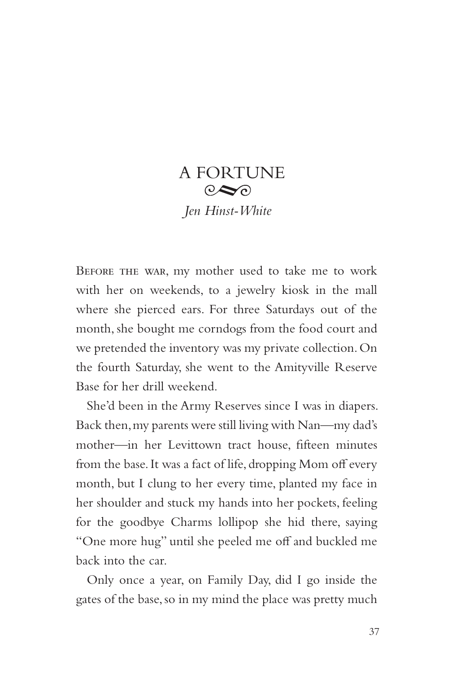## A FORTUNE  $\odot \odot$ *Jen Hinst-White*

Before the war, my mother used to take me to work with her on weekends, to a jewelry kiosk in the mall where she pierced ears. For three Saturdays out of the month, she bought me corndogs from the food court and we pretended the inventory was my private collection. On the fourth Saturday, she went to the Amityville Reserve Base for her drill weekend.

She'd been in the Army Reserves since I was in diapers. Back then, my parents were still living with Nan—my dad's mother—in her Levittown tract house, fifteen minutes from the base. It was a fact of life, dropping Mom off every month, but I clung to her every time, planted my face in her shoulder and stuck my hands into her pockets, feeling for the goodbye Charms lollipop she hid there, saying "One more hug" until she peeled me off and buckled me back into the car.

Only once a year, on Family Day, did I go inside the gates of the base, so in my mind the place was pretty much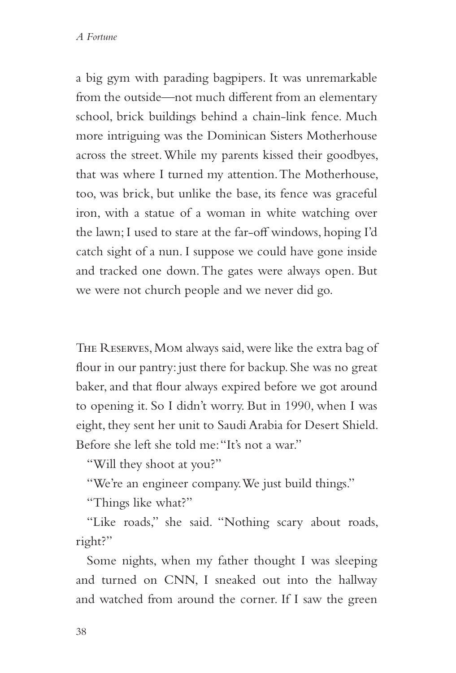a big gym with parading bagpipers. It was unremarkable from the outside—not much different from an elementary school, brick buildings behind a chain-link fence. Much more intriguing was the Dominican Sisters Motherhouse across the street. While my parents kissed their goodbyes, that was where I turned my attention. The Motherhouse, too, was brick, but unlike the base, its fence was graceful iron, with a statue of a woman in white watching over the lawn; I used to stare at the far-off windows, hoping I'd catch sight of a nun. I suppose we could have gone inside and tracked one down. The gates were always open. But we were not church people and we never did go.

The Reserves, Mom always said, were like the extra bag of flour in our pantry: just there for backup. She was no great baker, and that flour always expired before we got around to opening it. So I didn't worry. But in 1990, when I was eight, they sent her unit to Saudi Arabia for Desert Shield. Before she left she told me: "It's not a war."

"Will they shoot at you?"

"We're an engineer company. We just build things."

"Things like what?"

"Like roads," she said. "Nothing scary about roads, right?"

Some nights, when my father thought I was sleeping and turned on CNN, I sneaked out into the hallway and watched from around the corner. If I saw the green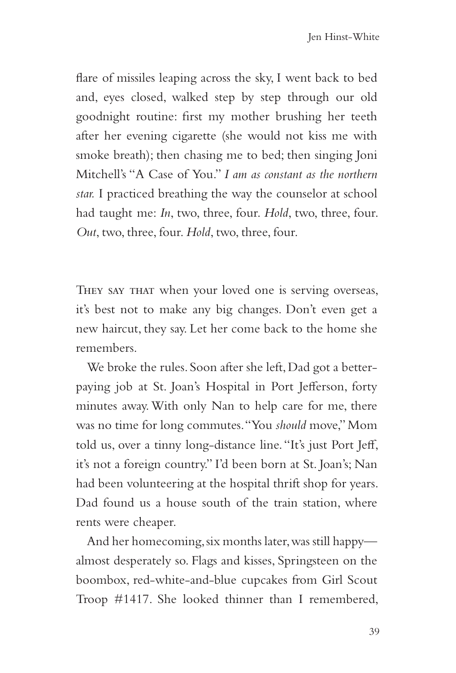flare of missiles leaping across the sky, I went back to bed and, eyes closed, walked step by step through our old goodnight routine: first my mother brushing her teeth after her evening cigarette (she would not kiss me with smoke breath); then chasing me to bed; then singing Joni Mitchell's "A Case of You." *I am as constant as the northern star.* I practiced breathing the way the counselor at school had taught me: *In*, two, three, four. *Hold*, two, three, four. *Out*, two, three, four. *Hold*, two, three, four.

THEY SAY THAT when your loved one is serving overseas, it's best not to make any big changes. Don't even get a new haircut, they say. Let her come back to the home she remembers.

We broke the rules. Soon after she left, Dad got a betterpaying job at St. Joan's Hospital in Port Jefferson, forty minutes away. With only Nan to help care for me, there was no time for long commutes. "You *should* move," Mom told us, over a tinny long-distance line. "It's just Port Jeff, it's not a foreign country." I'd been born at St. Joan's; Nan had been volunteering at the hospital thrift shop for years. Dad found us a house south of the train station, where rents were cheaper.

And her homecoming, six months later, was still happy almost desperately so. Flags and kisses, Springsteen on the boombox, red-white-and-blue cupcakes from Girl Scout Troop #1417. She looked thinner than I remembered,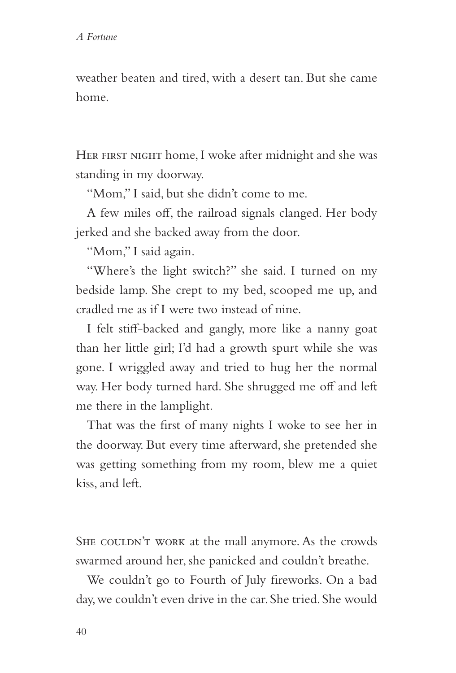weather beaten and tired, with a desert tan. But she came home.

HER FIRST NIGHT home, I woke after midnight and she was standing in my doorway.

"Mom," I said, but she didn't come to me.

A few miles off, the railroad signals clanged. Her body jerked and she backed away from the door.

"Mom," I said again.

"Where's the light switch?" she said. I turned on my bedside lamp. She crept to my bed, scooped me up, and cradled me as if I were two instead of nine.

I felt stiff-backed and gangly, more like a nanny goat than her little girl; I'd had a growth spurt while she was gone. I wriggled away and tried to hug her the normal way. Her body turned hard. She shrugged me off and left me there in the lamplight.

That was the first of many nights I woke to see her in the doorway. But every time afterward, she pretended she was getting something from my room, blew me a quiet kiss, and left.

SHE COULDN'T WORK at the mall anymore. As the crowds swarmed around her, she panicked and couldn't breathe.

We couldn't go to Fourth of July fireworks. On a bad day, we couldn't even drive in the car. She tried. She would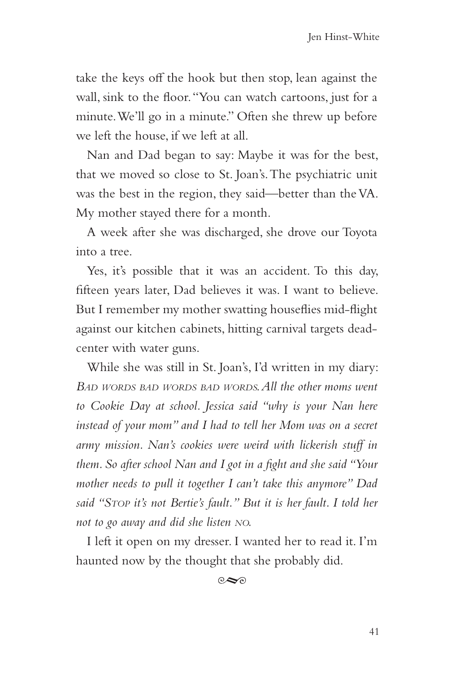take the keys off the hook but then stop, lean against the wall, sink to the floor. "You can watch cartoons, just for a minute. We'll go in a minute." Often she threw up before we left the house, if we left at all.

Nan and Dad began to say: Maybe it was for the best, that we moved so close to St. Joan's. The psychiatric unit was the best in the region, they said—better than the VA. My mother stayed there for a month.

A week after she was discharged, she drove our Toyota into a tree.

Yes, it's possible that it was an accident. To this day, fifteen years later, Dad believes it was. I want to believe. But I remember my mother swatting houseflies mid-flight against our kitchen cabinets, hitting carnival targets deadcenter with water guns.

While she was still in St. Joan's, I'd written in my diary: *Bad words bad words bad words. All the other moms went to Cookie Day at school. Jessica said "why is your Nan here instead of your mom" and I had to tell her Mom was on a secret army mission. Nan's cookies were weird with lickerish stuff in them. So after school Nan and I got in a fight and she said "Your mother needs to pull it together I can't take this anymore" Dad said "Stop it's not Bertie's fault." But it is her fault. I told her not to go away and did she listen no.*

I left it open on my dresser. I wanted her to read it. I'm haunted now by the thought that she probably did.

 $\infty$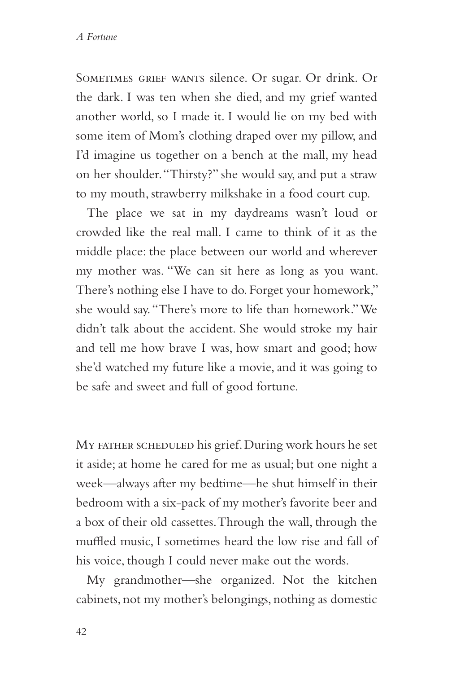SOMETIMES GRIEF WANTS silence. Or sugar. Or drink. Or the dark. I was ten when she died, and my grief wanted another world, so I made it. I would lie on my bed with some item of Mom's clothing draped over my pillow, and I'd imagine us together on a bench at the mall, my head on her shoulder. "Thirsty?" she would say, and put a straw to my mouth, strawberry milkshake in a food court cup.

The place we sat in my daydreams wasn't loud or crowded like the real mall. I came to think of it as the middle place: the place between our world and wherever my mother was. "We can sit here as long as you want. There's nothing else I have to do. Forget your homework," she would say. "There's more to life than homework." We didn't talk about the accident. She would stroke my hair and tell me how brave I was, how smart and good; how she'd watched my future like a movie, and it was going to be safe and sweet and full of good fortune.

MY FATHER SCHEDULED his grief. During work hours he set it aside; at home he cared for me as usual; but one night a week—always after my bedtime—he shut himself in their bedroom with a six-pack of my mother's favorite beer and a box of their old cassettes. Through the wall, through the muffled music, I sometimes heard the low rise and fall of his voice, though I could never make out the words.

My grandmother—she organized. Not the kitchen cabinets, not my mother's belongings, nothing as domestic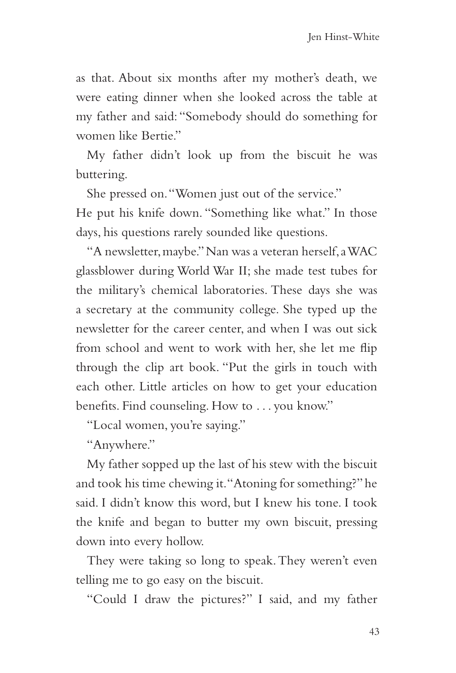as that. About six months after my mother's death, we were eating dinner when she looked across the table at my father and said: "Somebody should do something for women like Bertie."

My father didn't look up from the biscuit he was buttering.

She pressed on. "Women just out of the service." He put his knife down. "Something like what." In those days, his questions rarely sounded like questions.

"A newsletter, maybe." Nan was a veteran herself, a WAC glassblower during World War II; she made test tubes for the military's chemical laboratories. These days she was a secretary at the community college. She typed up the newsletter for the career center, and when I was out sick from school and went to work with her, she let me flip through the clip art book. "Put the girls in touch with each other. Little articles on how to get your education benefits. Find counseling. How to . . . you know."

"Local women, you're saying."

"Anywhere."

My father sopped up the last of his stew with the biscuit and took his time chewing it. "Atoning for something?" he said. I didn't know this word, but I knew his tone. I took the knife and began to butter my own biscuit, pressing down into every hollow.

They were taking so long to speak. They weren't even telling me to go easy on the biscuit.

"Could I draw the pictures?" I said, and my father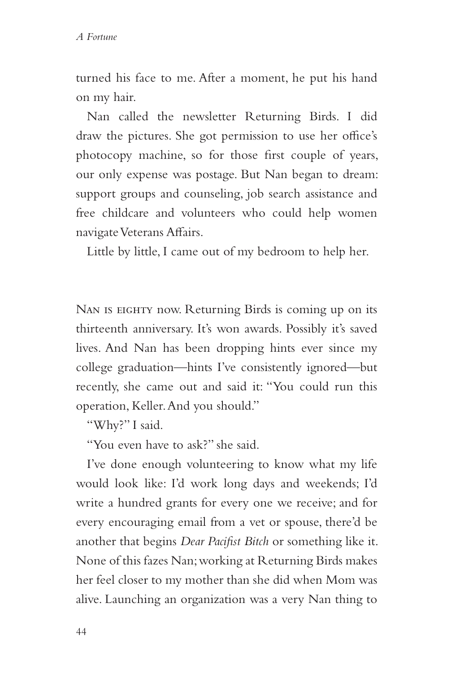turned his face to me. After a moment, he put his hand on my hair.

Nan called the newsletter Returning Birds. I did draw the pictures. She got permission to use her office's photocopy machine, so for those first couple of years, our only expense was postage. But Nan began to dream: support groups and counseling, job search assistance and free childcare and volunteers who could help women navigate Veterans Affairs.

Little by little, I came out of my bedroom to help her.

NAN IS EIGHTY now. Returning Birds is coming up on its thirteenth anniversary. It's won awards. Possibly it's saved lives. And Nan has been dropping hints ever since my college graduation—hints I've consistently ignored—but recently, she came out and said it: "You could run this operation, Keller. And you should."

"Why?" I said.

"You even have to ask?" she said.

I've done enough volunteering to know what my life would look like: I'd work long days and weekends; I'd write a hundred grants for every one we receive; and for every encouraging email from a vet or spouse, there'd be another that begins *Dear Pacifist Bitch* or something like it. None of this fazes Nan; working at Returning Birds makes her feel closer to my mother than she did when Mom was alive. Launching an organization was a very Nan thing to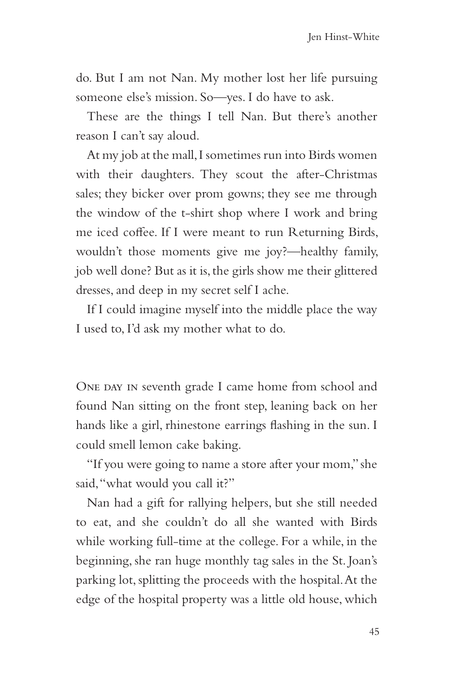do. But I am not Nan. My mother lost her life pursuing someone else's mission. So—yes. I do have to ask.

These are the things I tell Nan. But there's another reason I can't say aloud.

At my job at the mall, I sometimes run into Birds women with their daughters. They scout the after-Christmas sales; they bicker over prom gowns; they see me through the window of the t-shirt shop where I work and bring me iced coffee. If I were meant to run Returning Birds, wouldn't those moments give me joy?—healthy family, job well done? But as it is, the girls show me their glittered dresses, and deep in my secret self I ache.

If I could imagine myself into the middle place the way I used to, I'd ask my mother what to do.

ONE DAY IN seventh grade I came home from school and found Nan sitting on the front step, leaning back on her hands like a girl, rhinestone earrings flashing in the sun. I could smell lemon cake baking.

"If you were going to name a store after your mom," she said, "what would you call it?"

Nan had a gift for rallying helpers, but she still needed to eat, and she couldn't do all she wanted with Birds while working full-time at the college. For a while, in the beginning, she ran huge monthly tag sales in the St. Joan's parking lot, splitting the proceeds with the hospital. At the edge of the hospital property was a little old house, which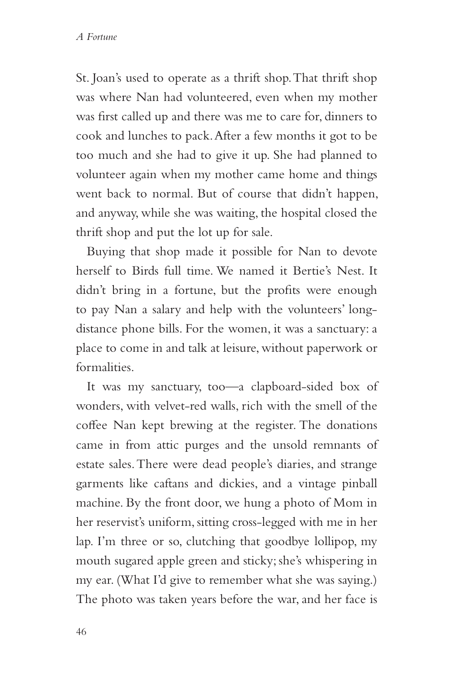St. Joan's used to operate as a thrift shop. That thrift shop was where Nan had volunteered, even when my mother was first called up and there was me to care for, dinners to cook and lunches to pack. After a few months it got to be too much and she had to give it up. She had planned to volunteer again when my mother came home and things went back to normal. But of course that didn't happen, and anyway, while she was waiting, the hospital closed the thrift shop and put the lot up for sale.

Buying that shop made it possible for Nan to devote herself to Birds full time. We named it Bertie's Nest. It didn't bring in a fortune, but the profits were enough to pay Nan a salary and help with the volunteers' longdistance phone bills. For the women, it was a sanctuary: a place to come in and talk at leisure, without paperwork or formalities.

It was my sanctuary, too—a clapboard-sided box of wonders, with velvet-red walls, rich with the smell of the coffee Nan kept brewing at the register. The donations came in from attic purges and the unsold remnants of estate sales. There were dead people's diaries, and strange garments like caftans and dickies, and a vintage pinball machine. By the front door, we hung a photo of Mom in her reservist's uniform, sitting cross-legged with me in her lap. I'm three or so, clutching that goodbye lollipop, my mouth sugared apple green and sticky; she's whispering in my ear. (What I'd give to remember what she was saying.) The photo was taken years before the war, and her face is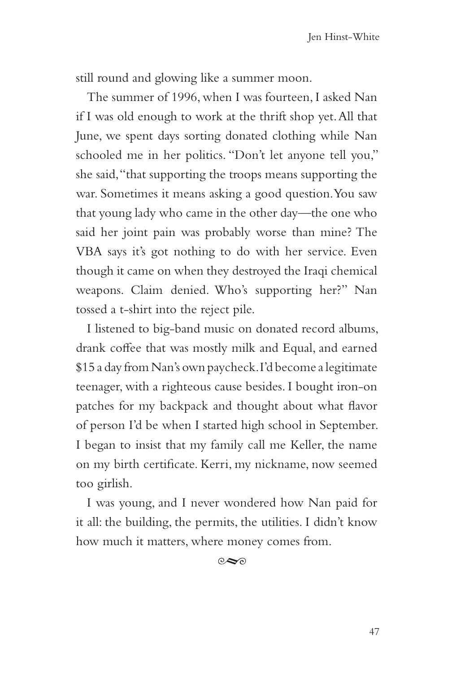still round and glowing like a summer moon.

The summer of 1996, when I was fourteen, I asked Nan if I was old enough to work at the thrift shop yet. All that June, we spent days sorting donated clothing while Nan schooled me in her politics. "Don't let anyone tell you," she said, "that supporting the troops means supporting the war. Sometimes it means asking a good question. You saw that young lady who came in the other day—the one who said her joint pain was probably worse than mine? The VBA says it's got nothing to do with her service. Even though it came on when they destroyed the Iraqi chemical weapons. Claim denied. Who's supporting her?" Nan tossed a t-shirt into the reject pile.

I listened to big-band music on donated record albums, drank coffee that was mostly milk and Equal, and earned \$15 a day from Nan's own paycheck. I'd become a legitimate teenager, with a righteous cause besides. I bought iron-on patches for my backpack and thought about what flavor of person I'd be when I started high school in September. I began to insist that my family call me Keller, the name on my birth certificate. Kerri, my nickname, now seemed too girlish.

I was young, and I never wondered how Nan paid for it all: the building, the permits, the utilities. I didn't know how much it matters, where money comes from.

 $\infty$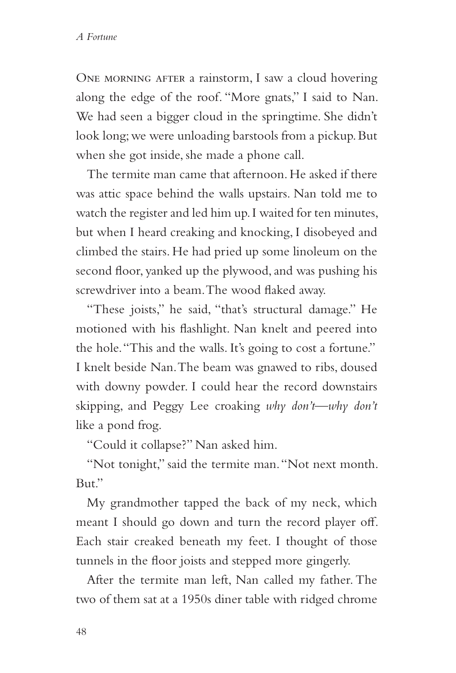ONE MORNING AFTER a rainstorm, I saw a cloud hovering along the edge of the roof. "More gnats," I said to Nan. We had seen a bigger cloud in the springtime. She didn't look long; we were unloading barstools from a pickup. But when she got inside, she made a phone call.

The termite man came that afternoon. He asked if there was attic space behind the walls upstairs. Nan told me to watch the register and led him up. I waited for ten minutes, but when I heard creaking and knocking, I disobeyed and climbed the stairs. He had pried up some linoleum on the second floor, yanked up the plywood, and was pushing his screwdriver into a beam. The wood flaked away.

"These joists," he said, "that's structural damage." He motioned with his flashlight. Nan knelt and peered into the hole. "This and the walls. It's going to cost a fortune." I knelt beside Nan. The beam was gnawed to ribs, doused with downy powder. I could hear the record downstairs skipping, and Peggy Lee croaking *why don't—why don't* like a pond frog.

"Could it collapse?" Nan asked him.

"Not tonight," said the termite man. "Not next month. But."

My grandmother tapped the back of my neck, which meant I should go down and turn the record player off. Each stair creaked beneath my feet. I thought of those tunnels in the floor joists and stepped more gingerly.

After the termite man left, Nan called my father. The two of them sat at a 1950s diner table with ridged chrome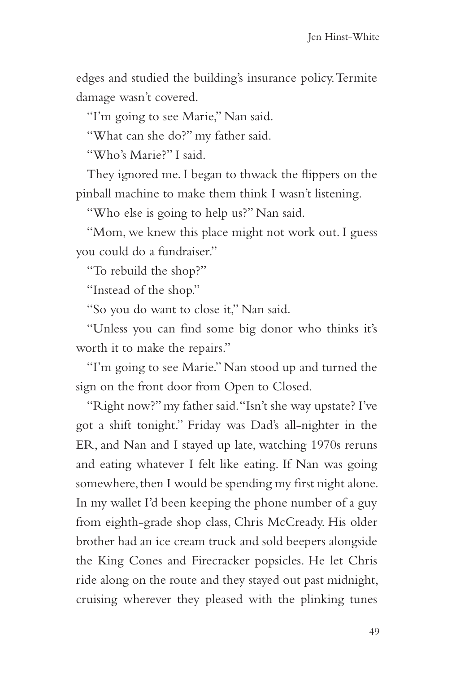edges and studied the building's insurance policy. Termite damage wasn't covered.

"I'm going to see Marie," Nan said.

"What can she do?" my father said.

"Who's Marie?" I said.

They ignored me. I began to thwack the flippers on the pinball machine to make them think I wasn't listening.

"Who else is going to help us?" Nan said.

"Mom, we knew this place might not work out. I guess you could do a fundraiser."

"To rebuild the shop?"

"Instead of the shop."

"So you do want to close it," Nan said.

"Unless you can find some big donor who thinks it's worth it to make the repairs."

"I'm going to see Marie." Nan stood up and turned the sign on the front door from Open to Closed.

"Right now?" my father said. "Isn't she way upstate? I've got a shift tonight." Friday was Dad's all-nighter in the ER, and Nan and I stayed up late, watching 1970s reruns and eating whatever I felt like eating. If Nan was going somewhere, then I would be spending my first night alone. In my wallet I'd been keeping the phone number of a guy from eighth-grade shop class, Chris McCready. His older brother had an ice cream truck and sold beepers alongside the King Cones and Firecracker popsicles. He let Chris ride along on the route and they stayed out past midnight, cruising wherever they pleased with the plinking tunes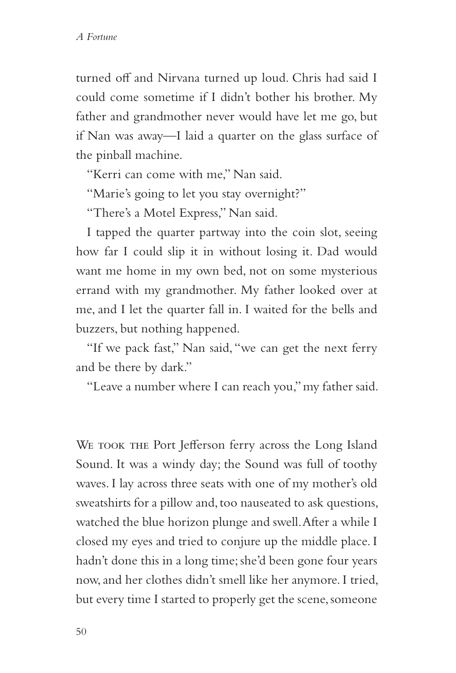turned off and Nirvana turned up loud. Chris had said I could come sometime if I didn't bother his brother. My father and grandmother never would have let me go, but if Nan was away—I laid a quarter on the glass surface of the pinball machine.

"Kerri can come with me," Nan said.

"Marie's going to let you stay overnight?"

"There's a Motel Express," Nan said.

I tapped the quarter partway into the coin slot, seeing how far I could slip it in without losing it. Dad would want me home in my own bed, not on some mysterious errand with my grandmother. My father looked over at me, and I let the quarter fall in. I waited for the bells and buzzers, but nothing happened.

"If we pack fast," Nan said, "we can get the next ferry and be there by dark."

"Leave a number where I can reach you," my father said.

WE TOOK THE Port Jefferson ferry across the Long Island Sound. It was a windy day; the Sound was full of toothy waves. I lay across three seats with one of my mother's old sweatshirts for a pillow and, too nauseated to ask questions, watched the blue horizon plunge and swell. After a while I closed my eyes and tried to conjure up the middle place. I hadn't done this in a long time; she'd been gone four years now, and her clothes didn't smell like her anymore. I tried, but every time I started to properly get the scene, someone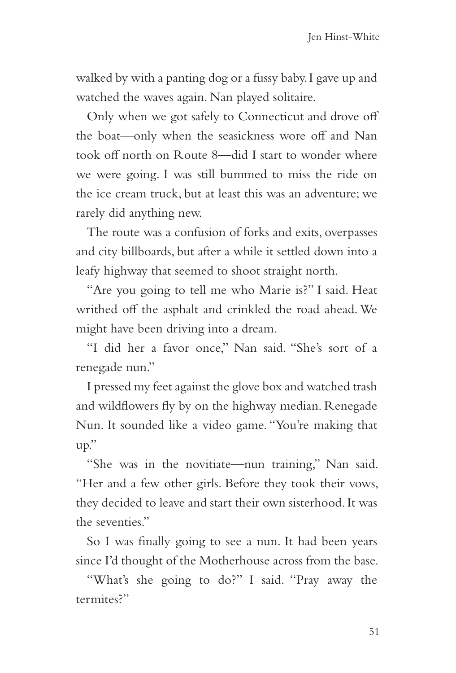walked by with a panting dog or a fussy baby. I gave up and watched the waves again. Nan played solitaire.

Only when we got safely to Connecticut and drove off the boat—only when the seasickness wore off and Nan took off north on Route 8—did I start to wonder where we were going. I was still bummed to miss the ride on the ice cream truck, but at least this was an adventure; we rarely did anything new.

The route was a confusion of forks and exits, overpasses and city billboards, but after a while it settled down into a leafy highway that seemed to shoot straight north.

"Are you going to tell me who Marie is?" I said. Heat writhed off the asphalt and crinkled the road ahead. We might have been driving into a dream.

"I did her a favor once," Nan said. "She's sort of a renegade nun."

I pressed my feet against the glove box and watched trash and wildflowers fly by on the highway median. Renegade Nun. It sounded like a video game. "You're making that up."

"She was in the novitiate—nun training," Nan said. "Her and a few other girls. Before they took their vows, they decided to leave and start their own sisterhood. It was the seventies."

So I was finally going to see a nun. It had been years since I'd thought of the Motherhouse across from the base.

"What's she going to do?" I said. "Pray away the termites?"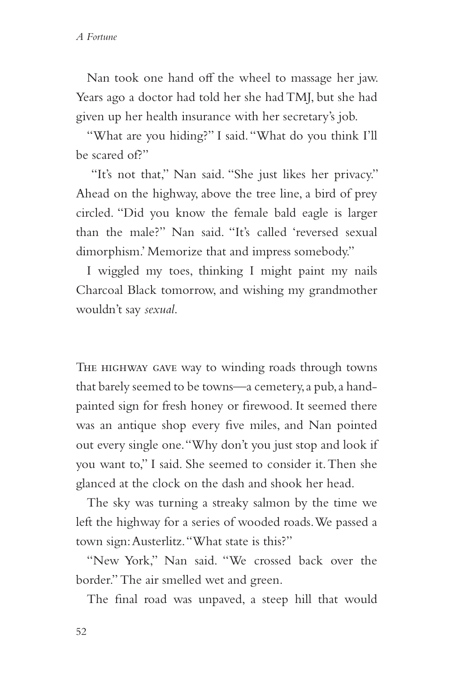Nan took one hand off the wheel to massage her jaw. Years ago a doctor had told her she had TMJ, but she had given up her health insurance with her secretary's job.

"What are you hiding?" I said. "What do you think I'll be scared of?"

 "It's not that," Nan said. "She just likes her privacy." Ahead on the highway, above the tree line, a bird of prey circled. "Did you know the female bald eagle is larger than the male?" Nan said. "It's called 'reversed sexual dimorphism.' Memorize that and impress somebody."

I wiggled my toes, thinking I might paint my nails Charcoal Black tomorrow, and wishing my grandmother wouldn't say *sexual*.

THE HIGHWAY GAVE way to winding roads through towns that barely seemed to be towns—a cemetery, a pub, a handpainted sign for fresh honey or firewood. It seemed there was an antique shop every five miles, and Nan pointed out every single one. "Why don't you just stop and look if you want to," I said. She seemed to consider it. Then she glanced at the clock on the dash and shook her head.

The sky was turning a streaky salmon by the time we left the highway for a series of wooded roads. We passed a town sign: Austerlitz. "What state is this?"

"New York," Nan said. "We crossed back over the border." The air smelled wet and green.

The final road was unpaved, a steep hill that would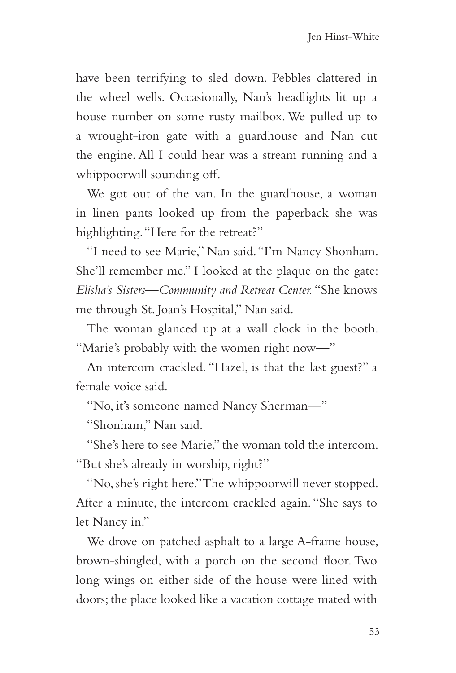have been terrifying to sled down. Pebbles clattered in the wheel wells. Occasionally, Nan's headlights lit up a house number on some rusty mailbox. We pulled up to a wrought-iron gate with a guardhouse and Nan cut the engine. All I could hear was a stream running and a whippoorwill sounding off.

We got out of the van. In the guardhouse, a woman in linen pants looked up from the paperback she was highlighting. "Here for the retreat?"

"I need to see Marie," Nan said. "I'm Nancy Shonham. She'll remember me." I looked at the plaque on the gate: *Elisha's Sisters—Community and Retreat Center.* "She knows me through St. Joan's Hospital," Nan said.

The woman glanced up at a wall clock in the booth. "Marie's probably with the women right now—"

An intercom crackled. "Hazel, is that the last guest?" a female voice said.

"No, it's someone named Nancy Sherman—"

"Shonham," Nan said.

"She's here to see Marie," the woman told the intercom. "But she's already in worship, right?"

"No, she's right here." The whippoorwill never stopped. After a minute, the intercom crackled again. "She says to let Nancy in."

We drove on patched asphalt to a large A-frame house, brown-shingled, with a porch on the second floor. Two long wings on either side of the house were lined with doors; the place looked like a vacation cottage mated with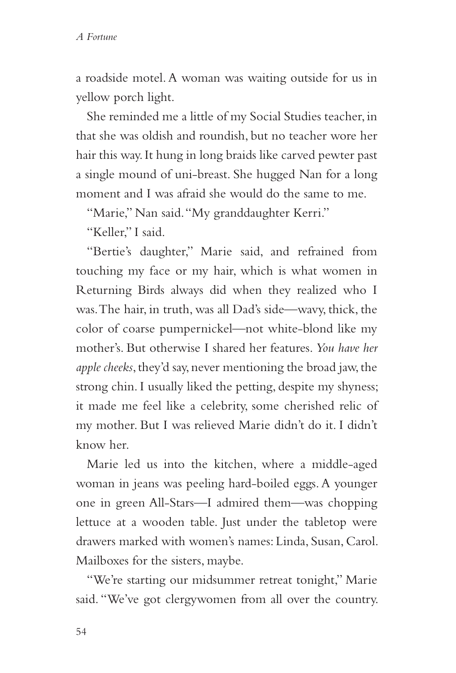a roadside motel. A woman was waiting outside for us in yellow porch light.

She reminded me a little of my Social Studies teacher, in that she was oldish and roundish, but no teacher wore her hair this way. It hung in long braids like carved pewter past a single mound of uni-breast. She hugged Nan for a long moment and I was afraid she would do the same to me.

"Marie," Nan said. "My granddaughter Kerri."

"Keller." I said.

"Bertie's daughter," Marie said, and refrained from touching my face or my hair, which is what women in Returning Birds always did when they realized who I was. The hair, in truth, was all Dad's side—wavy, thick, the color of coarse pumpernickel—not white-blond like my mother's. But otherwise I shared her features. *You have her apple cheeks*, they'd say, never mentioning the broad jaw, the strong chin. I usually liked the petting, despite my shyness; it made me feel like a celebrity, some cherished relic of my mother. But I was relieved Marie didn't do it. I didn't know her.

Marie led us into the kitchen, where a middle-aged woman in jeans was peeling hard-boiled eggs. A younger one in green All-Stars—I admired them—was chopping lettuce at a wooden table. Just under the tabletop were drawers marked with women's names: Linda, Susan, Carol. Mailboxes for the sisters, maybe.

"We're starting our midsummer retreat tonight," Marie said. "We've got clergywomen from all over the country.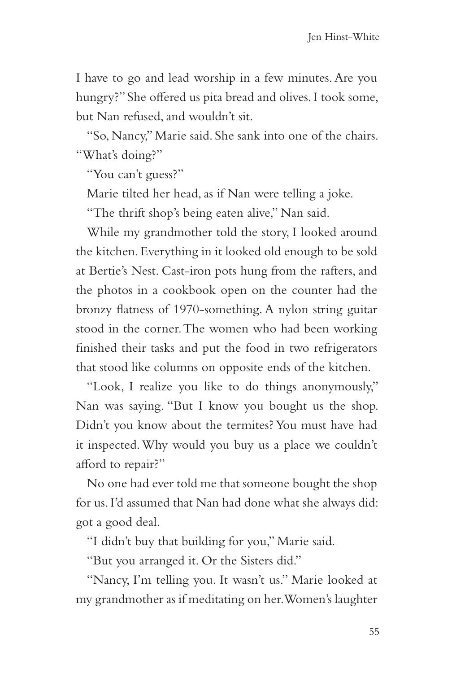I have to go and lead worship in a few minutes. Are you hungry?" She offered us pita bread and olives. I took some, but Nan refused, and wouldn't sit.

"So, Nancy," Marie said. She sank into one of the chairs. "What's doing?"

"You can't guess?"

Marie tilted her head, as if Nan were telling a joke.

"The thrift shop's being eaten alive," Nan said.

While my grandmother told the story, I looked around the kitchen. Everything in it looked old enough to be sold at Bertie's Nest. Cast-iron pots hung from the rafters, and the photos in a cookbook open on the counter had the bronzy flatness of 1970-something. A nylon string guitar stood in the corner. The women who had been working finished their tasks and put the food in two refrigerators that stood like columns on opposite ends of the kitchen.

"Look, I realize you like to do things anonymously," Nan was saying. "But I know you bought us the shop. Didn't you know about the termites? You must have had it inspected. Why would you buy us a place we couldn't afford to repair?"

No one had ever told me that someone bought the shop for us. I'd assumed that Nan had done what she always did: got a good deal.

"I didn't buy that building for you," Marie said.

"But you arranged it. Or the Sisters did."

"Nancy, I'm telling you. It wasn't us." Marie looked at my grandmother as if meditating on her. Women's laughter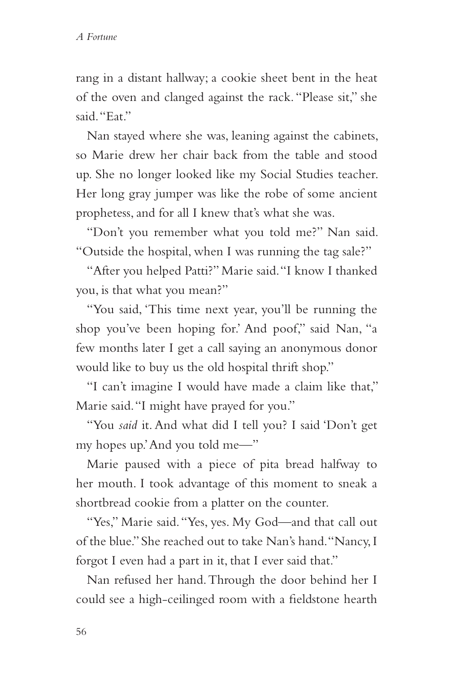rang in a distant hallway; a cookie sheet bent in the heat of the oven and clanged against the rack. "Please sit," she said. "Eat."

Nan stayed where she was, leaning against the cabinets, so Marie drew her chair back from the table and stood up. She no longer looked like my Social Studies teacher. Her long gray jumper was like the robe of some ancient prophetess, and for all I knew that's what she was.

"Don't you remember what you told me?" Nan said. "Outside the hospital, when I was running the tag sale?"

"After you helped Patti?" Marie said. "I know I thanked you, is that what you mean?"

"You said, 'This time next year, you'll be running the shop you've been hoping for.' And poof," said Nan, "a few months later I get a call saying an anonymous donor would like to buy us the old hospital thrift shop."

"I can't imagine I would have made a claim like that," Marie said. "I might have prayed for you."

"You *said* it. And what did I tell you? I said 'Don't get my hopes up.' And you told me—"

Marie paused with a piece of pita bread halfway to her mouth. I took advantage of this moment to sneak a shortbread cookie from a platter on the counter.

"Yes," Marie said. "Yes, yes. My God—and that call out of the blue." She reached out to take Nan's hand. "Nancy, I forgot I even had a part in it, that I ever said that."

Nan refused her hand. Through the door behind her I could see a high-ceilinged room with a fieldstone hearth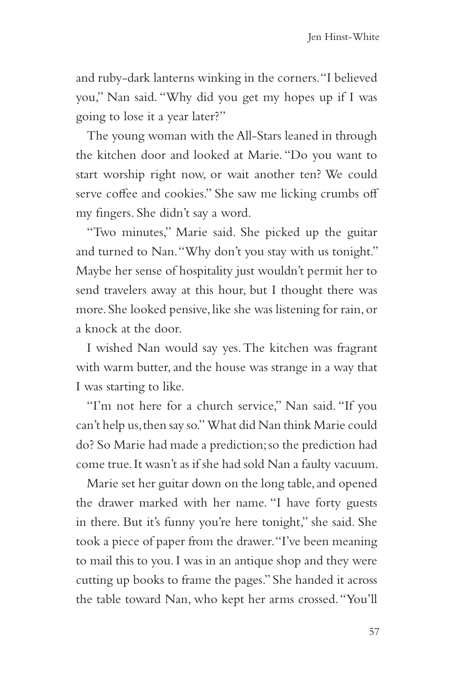and ruby-dark lanterns winking in the corners. "I believed you," Nan said. "Why did you get my hopes up if I was going to lose it a year later?"

The young woman with the All-Stars leaned in through the kitchen door and looked at Marie. "Do you want to start worship right now, or wait another ten? We could serve coffee and cookies." She saw me licking crumbs off my fingers. She didn't say a word.

"Two minutes," Marie said. She picked up the guitar and turned to Nan. "Why don't you stay with us tonight." Maybe her sense of hospitality just wouldn't permit her to send travelers away at this hour, but I thought there was more. She looked pensive, like she was listening for rain, or a knock at the door.

I wished Nan would say yes. The kitchen was fragrant with warm butter, and the house was strange in a way that I was starting to like.

"I'm not here for a church service," Nan said. "If you can't help us, then say so." What did Nan think Marie could do? So Marie had made a prediction; so the prediction had come true. It wasn't as if she had sold Nan a faulty vacuum.

Marie set her guitar down on the long table, and opened the drawer marked with her name. "I have forty guests in there. But it's funny you're here tonight," she said. She took a piece of paper from the drawer. "I've been meaning to mail this to you. I was in an antique shop and they were cutting up books to frame the pages." She handed it across the table toward Nan, who kept her arms crossed. "You'll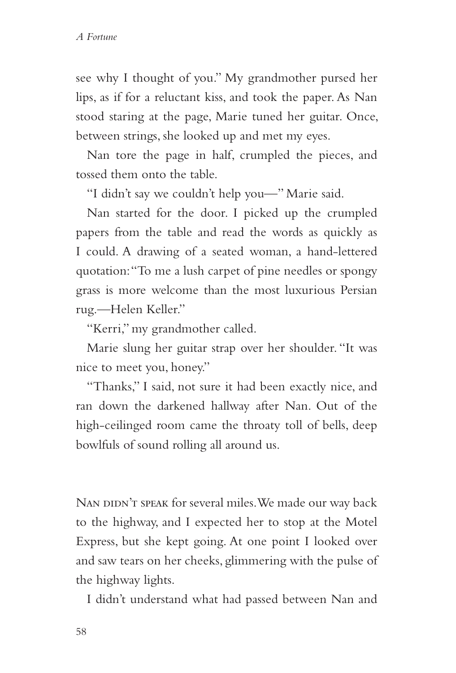see why I thought of you." My grandmother pursed her lips, as if for a reluctant kiss, and took the paper. As Nan stood staring at the page, Marie tuned her guitar. Once, between strings, she looked up and met my eyes.

Nan tore the page in half, crumpled the pieces, and tossed them onto the table.

"I didn't say we couldn't help you—" Marie said.

Nan started for the door. I picked up the crumpled papers from the table and read the words as quickly as I could. A drawing of a seated woman, a hand-lettered quotation: "To me a lush carpet of pine needles or spongy grass is more welcome than the most luxurious Persian rug.—Helen Keller."

"Kerri," my grandmother called.

Marie slung her guitar strap over her shoulder. "It was nice to meet you, honey."

"Thanks," I said, not sure it had been exactly nice, and ran down the darkened hallway after Nan. Out of the high-ceilinged room came the throaty toll of bells, deep bowlfuls of sound rolling all around us.

NAN DIDN'T SPEAK for several miles. We made our way back to the highway, and I expected her to stop at the Motel Express, but she kept going. At one point I looked over and saw tears on her cheeks, glimmering with the pulse of the highway lights.

I didn't understand what had passed between Nan and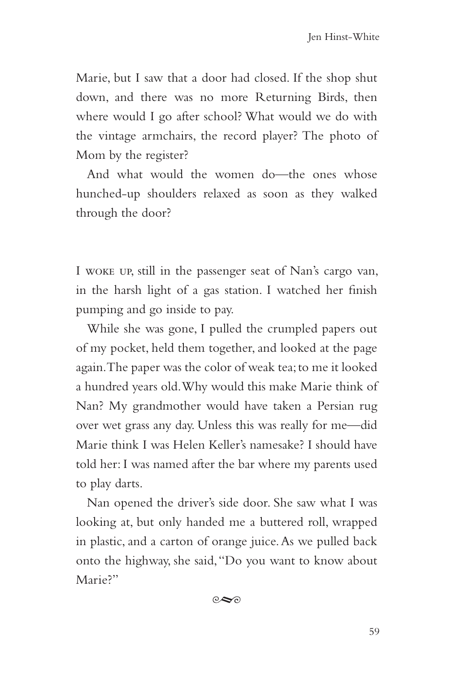Marie, but I saw that a door had closed. If the shop shut down, and there was no more Returning Birds, then where would I go after school? What would we do with the vintage armchairs, the record player? The photo of Mom by the register?

And what would the women do—the ones whose hunched-up shoulders relaxed as soon as they walked through the door?

I woke up, still in the passenger seat of Nan's cargo van, in the harsh light of a gas station. I watched her finish pumping and go inside to pay.

While she was gone, I pulled the crumpled papers out of my pocket, held them together, and looked at the page again. The paper was the color of weak tea; to me it looked a hundred years old. Why would this make Marie think of Nan? My grandmother would have taken a Persian rug over wet grass any day. Unless this was really for me—did Marie think I was Helen Keller's namesake? I should have told her: I was named after the bar where my parents used to play darts.

Nan opened the driver's side door. She saw what I was looking at, but only handed me a buttered roll, wrapped in plastic, and a carton of orange juice. As we pulled back onto the highway, she said, "Do you want to know about Marie<sup>2"</sup>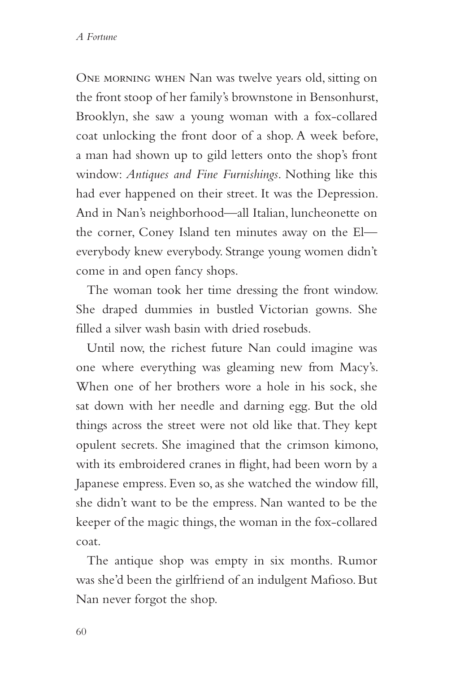One morning when Nan was twelve years old, sitting on the front stoop of her family's brownstone in Bensonhurst, Brooklyn, she saw a young woman with a fox-collared coat unlocking the front door of a shop. A week before, a man had shown up to gild letters onto the shop's front window: *Antiques and Fine Furnishings*. Nothing like this had ever happened on their street. It was the Depression. And in Nan's neighborhood—all Italian, luncheonette on the corner, Coney Island ten minutes away on the El everybody knew everybody. Strange young women didn't come in and open fancy shops.

The woman took her time dressing the front window. She draped dummies in bustled Victorian gowns. She filled a silver wash basin with dried rosebuds.

Until now, the richest future Nan could imagine was one where everything was gleaming new from Macy's. When one of her brothers wore a hole in his sock, she sat down with her needle and darning egg. But the old things across the street were not old like that. They kept opulent secrets. She imagined that the crimson kimono, with its embroidered cranes in flight, had been worn by a Japanese empress. Even so, as she watched the window fill, she didn't want to be the empress. Nan wanted to be the keeper of the magic things, the woman in the fox-collared coat.

The antique shop was empty in six months. Rumor was she'd been the girlfriend of an indulgent Mafioso. But Nan never forgot the shop.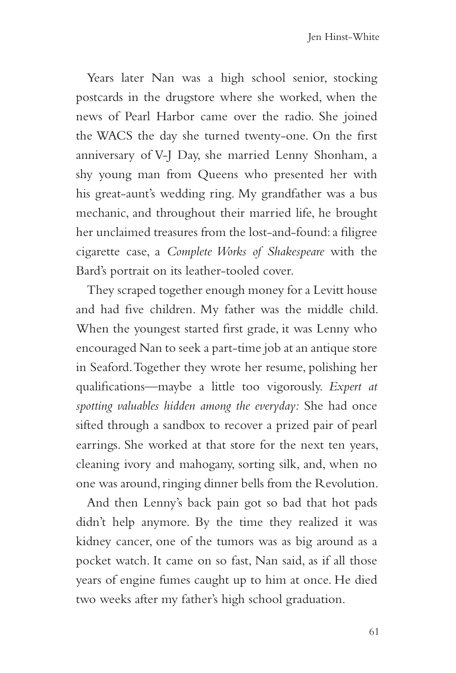Years later Nan was a high school senior, stocking postcards in the drugstore where she worked, when the news of Pearl Harbor came over the radio. She joined the WACS the day she turned twenty-one. On the first anniversary of V-J Day, she married Lenny Shonham, a shy young man from Queens who presented her with his great-aunt's wedding ring. My grandfather was a bus mechanic, and throughout their married life, he brought her unclaimed treasures from the lost-and-found: a filigree cigarette case, a *Complete Works of Shakespeare* with the Bard's portrait on its leather-tooled cover.

They scraped together enough money for a Levitt house and had five children. My father was the middle child. When the youngest started first grade, it was Lenny who encouraged Nan to seek a part-time job at an antique store in Seaford. Together they wrote her resume, polishing her qualifications—maybe a little too vigorously. *Expert at spotting valuables hidden among the everyday:* She had once sifted through a sandbox to recover a prized pair of pearl earrings. She worked at that store for the next ten years, cleaning ivory and mahogany, sorting silk, and, when no one was around, ringing dinner bells from the Revolution.

And then Lenny's back pain got so bad that hot pads didn't help anymore. By the time they realized it was kidney cancer, one of the tumors was as big around as a pocket watch. It came on so fast, Nan said, as if all those years of engine fumes caught up to him at once. He died two weeks after my father's high school graduation.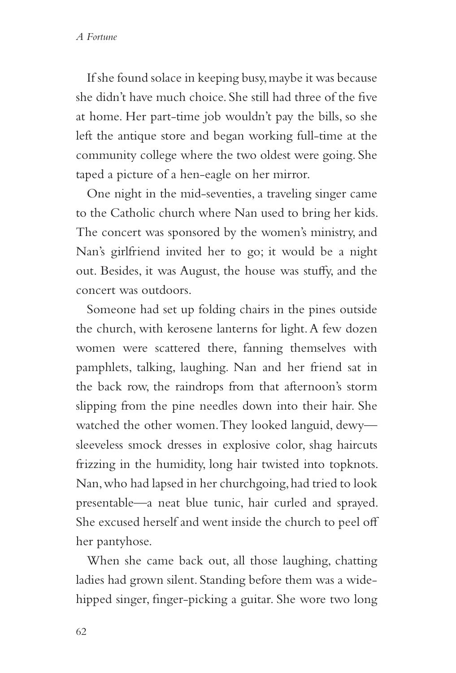If she found solace in keeping busy, maybe it was because she didn't have much choice. She still had three of the five at home. Her part-time job wouldn't pay the bills, so she left the antique store and began working full-time at the community college where the two oldest were going. She taped a picture of a hen-eagle on her mirror.

One night in the mid-seventies, a traveling singer came to the Catholic church where Nan used to bring her kids. The concert was sponsored by the women's ministry, and Nan's girlfriend invited her to go; it would be a night out. Besides, it was August, the house was stuffy, and the concert was outdoors.

Someone had set up folding chairs in the pines outside the church, with kerosene lanterns for light. A few dozen women were scattered there, fanning themselves with pamphlets, talking, laughing. Nan and her friend sat in the back row, the raindrops from that afternoon's storm slipping from the pine needles down into their hair. She watched the other women. They looked languid, dewy sleeveless smock dresses in explosive color, shag haircuts frizzing in the humidity, long hair twisted into topknots. Nan, who had lapsed in her churchgoing, had tried to look presentable—a neat blue tunic, hair curled and sprayed. She excused herself and went inside the church to peel off her pantyhose.

When she came back out, all those laughing, chatting ladies had grown silent. Standing before them was a widehipped singer, finger-picking a guitar. She wore two long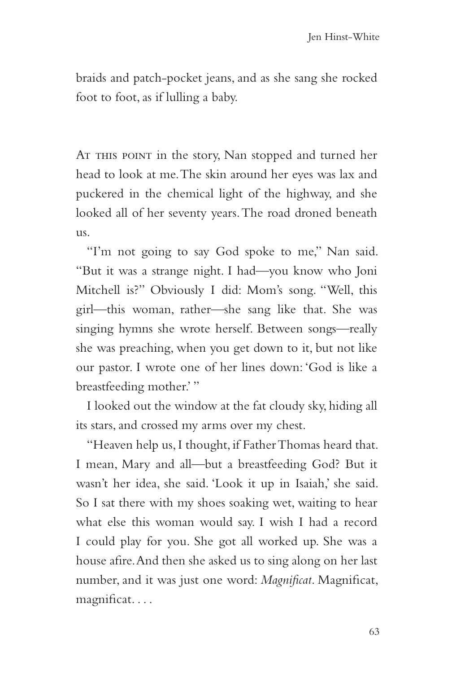braids and patch-pocket jeans, and as she sang she rocked foot to foot, as if lulling a baby.

AT THIS POINT in the story, Nan stopped and turned her head to look at me. The skin around her eyes was lax and puckered in the chemical light of the highway, and she looked all of her seventy years. The road droned beneath us.

"I'm not going to say God spoke to me," Nan said. "But it was a strange night. I had—you know who Joni Mitchell is?" Obviously I did: Mom's song. "Well, this girl—this woman, rather—she sang like that. She was singing hymns she wrote herself. Between songs—really she was preaching, when you get down to it, but not like our pastor. I wrote one of her lines down: 'God is like a breastfeeding mother.' "

I looked out the window at the fat cloudy sky, hiding all its stars, and crossed my arms over my chest.

"Heaven help us, I thought, if Father Thomas heard that. I mean, Mary and all—but a breastfeeding God? But it wasn't her idea, she said. 'Look it up in Isaiah,' she said. So I sat there with my shoes soaking wet, waiting to hear what else this woman would say. I wish I had a record I could play for you. She got all worked up. She was a house afire. And then she asked us to sing along on her last number, and it was just one word: *Magnificat*. Magnificat, magnificat. . . .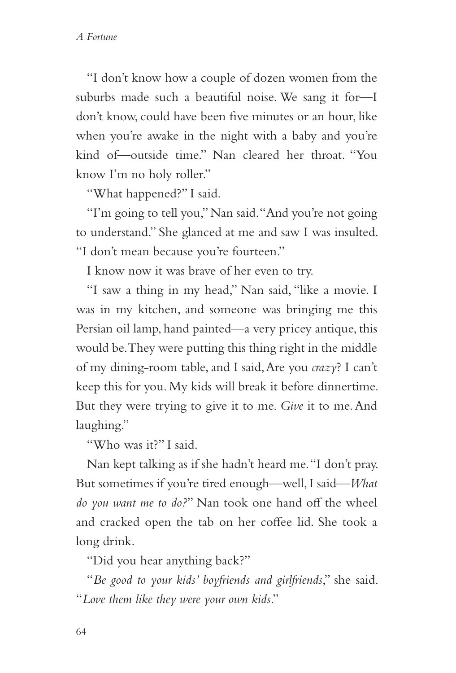"I don't know how a couple of dozen women from the suburbs made such a beautiful noise. We sang it for—I don't know, could have been five minutes or an hour, like when you're awake in the night with a baby and you're kind of—outside time." Nan cleared her throat. "You know I'm no holy roller."

"What happened?" I said.

"I'm going to tell you," Nan said. "And you're not going to understand." She glanced at me and saw I was insulted. "I don't mean because you're fourteen."

I know now it was brave of her even to try.

"I saw a thing in my head," Nan said, "like a movie. I was in my kitchen, and someone was bringing me this Persian oil lamp, hand painted—a very pricey antique, this would be. They were putting this thing right in the middle of my dining-room table, and I said, Are you *crazy*? I can't keep this for you. My kids will break it before dinnertime. But they were trying to give it to me. *Give* it to me. And laughing."

"Who was it?" I said.

Nan kept talking as if she hadn't heard me. "I don't pray. But sometimes if you're tired enough—well, I said—*What do you want me to do?*" Nan took one hand off the wheel and cracked open the tab on her coffee lid. She took a long drink.

"Did you hear anything back?"

"*Be good to your kids' boyfriends and girlfriends*," she said. "*Love them like they were your own kids*."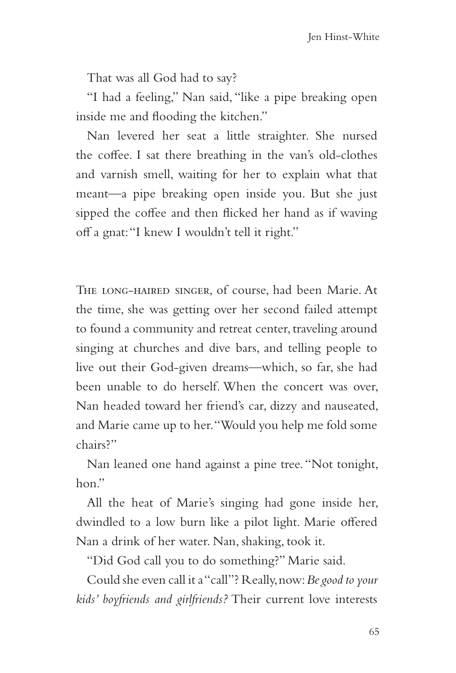That was all God had to say?

"I had a feeling," Nan said, "like a pipe breaking open inside me and flooding the kitchen."

Nan levered her seat a little straighter. She nursed the coffee. I sat there breathing in the van's old-clothes and varnish smell, waiting for her to explain what that meant—a pipe breaking open inside you. But she just sipped the coffee and then flicked her hand as if waving off a gnat: "I knew I wouldn't tell it right."

The long-haired singer, of course, had been Marie. At the time, she was getting over her second failed attempt to found a community and retreat center, traveling around singing at churches and dive bars, and telling people to live out their God-given dreams—which, so far, she had been unable to do herself. When the concert was over, Nan headed toward her friend's car, dizzy and nauseated, and Marie came up to her. "Would you help me fold some chairs?"

Nan leaned one hand against a pine tree. "Not tonight, hon."

All the heat of Marie's singing had gone inside her, dwindled to a low burn like a pilot light. Marie offered Nan a drink of her water. Nan, shaking, took it.

"Did God call you to do something?" Marie said.

Could she even call it a "call"? Really, now: *Be good to your kids' boyfriends and girlfriends?* Their current love interests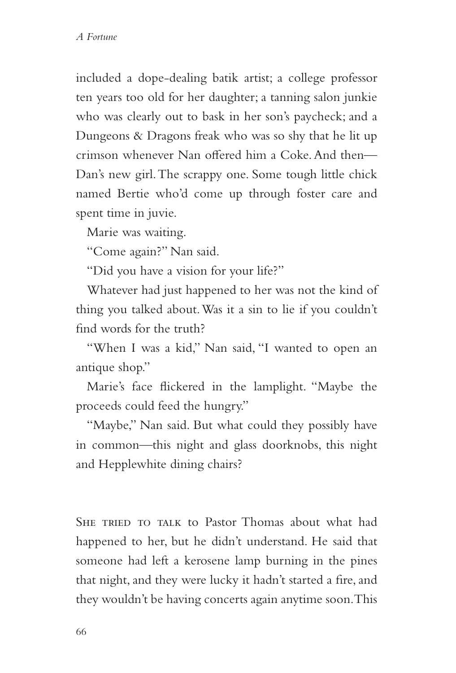included a dope-dealing batik artist; a college professor ten years too old for her daughter; a tanning salon junkie who was clearly out to bask in her son's paycheck; and a Dungeons & Dragons freak who was so shy that he lit up crimson whenever Nan offered him a Coke. And then— Dan's new girl. The scrappy one. Some tough little chick named Bertie who'd come up through foster care and spent time in juvie.

Marie was waiting.

"Come again?" Nan said.

"Did you have a vision for your life?"

Whatever had just happened to her was not the kind of thing you talked about. Was it a sin to lie if you couldn't find words for the truth?

"When I was a kid," Nan said, "I wanted to open an antique shop."

Marie's face flickered in the lamplight. "Maybe the proceeds could feed the hungry."

"Maybe," Nan said. But what could they possibly have in common—this night and glass doorknobs, this night and Hepplewhite dining chairs?

SHE TRIED TO TALK to Pastor Thomas about what had happened to her, but he didn't understand. He said that someone had left a kerosene lamp burning in the pines that night, and they were lucky it hadn't started a fire, and they wouldn't be having concerts again anytime soon. This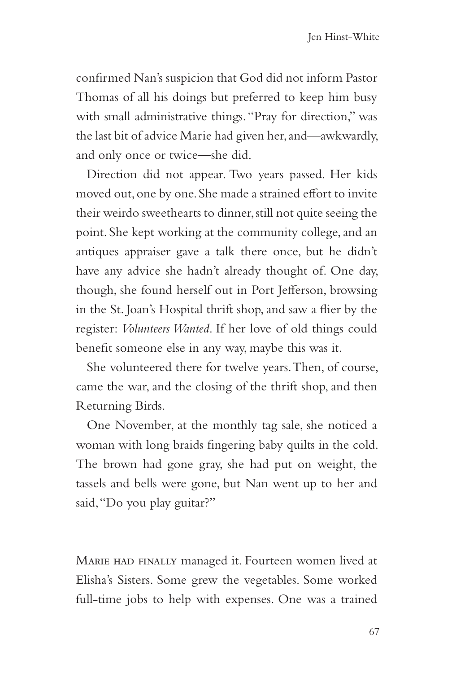confirmed Nan's suspicion that God did not inform Pastor Thomas of all his doings but preferred to keep him busy with small administrative things. "Pray for direction," was the last bit of advice Marie had given her, and—awkwardly, and only once or twice—she did.

Direction did not appear. Two years passed. Her kids moved out, one by one. She made a strained effort to invite their weirdo sweethearts to dinner, still not quite seeing the point. She kept working at the community college, and an antiques appraiser gave a talk there once, but he didn't have any advice she hadn't already thought of. One day, though, she found herself out in Port Jefferson, browsing in the St. Joan's Hospital thrift shop, and saw a flier by the register: *Volunteers Wanted*. If her love of old things could benefit someone else in any way, maybe this was it.

She volunteered there for twelve years. Then, of course, came the war, and the closing of the thrift shop, and then Returning Birds.

One November, at the monthly tag sale, she noticed a woman with long braids fingering baby quilts in the cold. The brown had gone gray, she had put on weight, the tassels and bells were gone, but Nan went up to her and said, "Do you play guitar?"

Marie had finally managed it. Fourteen women lived at Elisha's Sisters. Some grew the vegetables. Some worked full-time jobs to help with expenses. One was a trained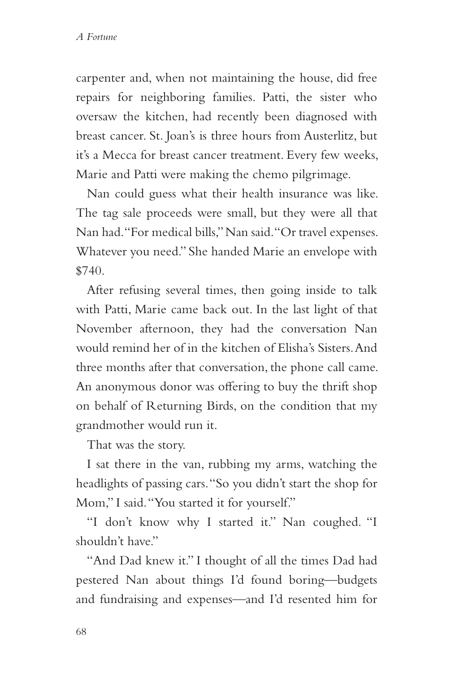carpenter and, when not maintaining the house, did free repairs for neighboring families. Patti, the sister who oversaw the kitchen, had recently been diagnosed with breast cancer. St. Joan's is three hours from Austerlitz, but it's a Mecca for breast cancer treatment. Every few weeks, Marie and Patti were making the chemo pilgrimage.

Nan could guess what their health insurance was like. The tag sale proceeds were small, but they were all that Nan had. "For medical bills," Nan said. "Or travel expenses. Whatever you need." She handed Marie an envelope with \$740.

After refusing several times, then going inside to talk with Patti, Marie came back out. In the last light of that November afternoon, they had the conversation Nan would remind her of in the kitchen of Elisha's Sisters. And three months after that conversation, the phone call came. An anonymous donor was offering to buy the thrift shop on behalf of Returning Birds, on the condition that my grandmother would run it.

That was the story.

I sat there in the van, rubbing my arms, watching the headlights of passing cars. "So you didn't start the shop for Mom," I said. "You started it for yourself."

"I don't know why I started it." Nan coughed. "I shouldn't have."

"And Dad knew it." I thought of all the times Dad had pestered Nan about things I'd found boring—budgets and fundraising and expenses—and I'd resented him for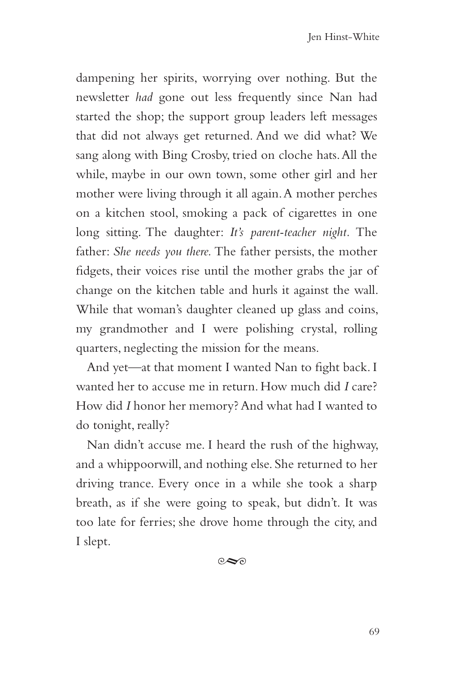dampening her spirits, worrying over nothing. But the newsletter *had* gone out less frequently since Nan had started the shop; the support group leaders left messages that did not always get returned. And we did what? We sang along with Bing Crosby, tried on cloche hats. All the while, maybe in our own town, some other girl and her mother were living through it all again. A mother perches on a kitchen stool, smoking a pack of cigarettes in one long sitting. The daughter: *It's parent-teacher night.* The father: *She needs you there.* The father persists, the mother fidgets, their voices rise until the mother grabs the jar of change on the kitchen table and hurls it against the wall. While that woman's daughter cleaned up glass and coins, my grandmother and I were polishing crystal, rolling quarters, neglecting the mission for the means.

And yet—at that moment I wanted Nan to fight back. I wanted her to accuse me in return. How much did *I* care? How did *I* honor her memory? And what had I wanted to do tonight, really?

Nan didn't accuse me. I heard the rush of the highway, and a whippoorwill, and nothing else. She returned to her driving trance. Every once in a while she took a sharp breath, as if she were going to speak, but didn't. It was too late for ferries; she drove home through the city, and I slept.

 $\infty$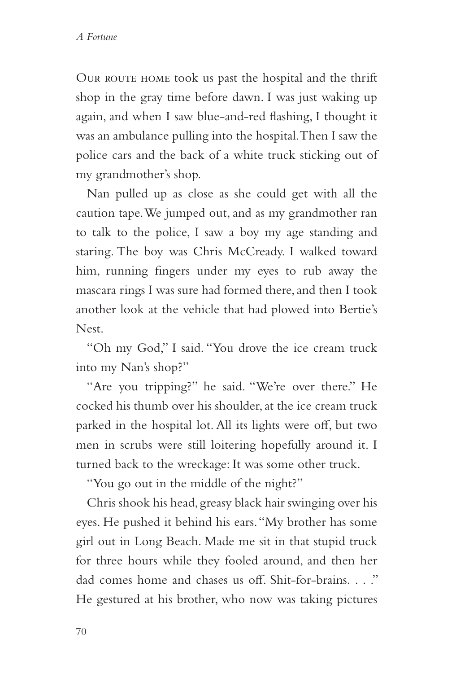OUR ROUTE HOME took us past the hospital and the thrift shop in the gray time before dawn. I was just waking up again, and when I saw blue-and-red flashing, I thought it was an ambulance pulling into the hospital. Then I saw the police cars and the back of a white truck sticking out of my grandmother's shop.

Nan pulled up as close as she could get with all the caution tape. We jumped out, and as my grandmother ran to talk to the police, I saw a boy my age standing and staring. The boy was Chris McCready. I walked toward him, running fingers under my eyes to rub away the mascara rings I was sure had formed there, and then I took another look at the vehicle that had plowed into Bertie's Nest.

"Oh my God," I said. "You drove the ice cream truck into my Nan's shop?"

"Are you tripping?" he said. "We're over there." He cocked his thumb over his shoulder, at the ice cream truck parked in the hospital lot. All its lights were off, but two men in scrubs were still loitering hopefully around it. I turned back to the wreckage: It was some other truck.

"You go out in the middle of the night?"

Chris shook his head, greasy black hair swinging over his eyes. He pushed it behind his ears. "My brother has some girl out in Long Beach. Made me sit in that stupid truck for three hours while they fooled around, and then her dad comes home and chases us off. Shit-for-brains. . . ." He gestured at his brother, who now was taking pictures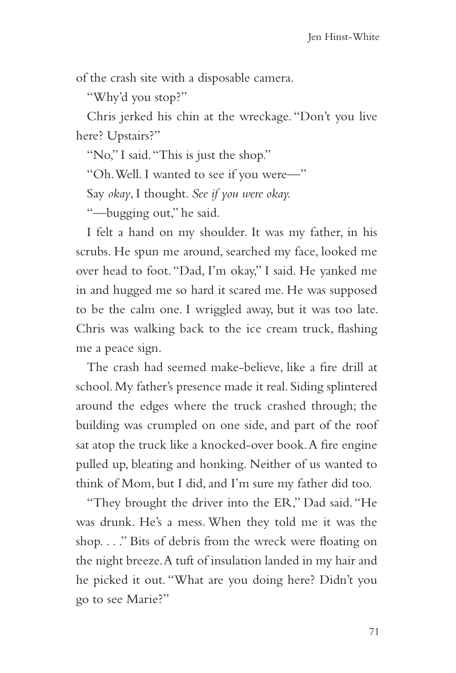of the crash site with a disposable camera.

"Why'd you stop?"

Chris jerked his chin at the wreckage. "Don't you live here? Upstairs?"

"No," I said. "This is just the shop."

"Oh. Well. I wanted to see if you were—"

Say *okay*, I thought. *See if you were okay.*

"—bugging out," he said.

I felt a hand on my shoulder. It was my father, in his scrubs. He spun me around, searched my face, looked me over head to foot. "Dad, I'm okay," I said. He yanked me in and hugged me so hard it scared me. He was supposed to be the calm one. I wriggled away, but it was too late. Chris was walking back to the ice cream truck, flashing me a peace sign.

The crash had seemed make-believe, like a fire drill at school. My father's presence made it real. Siding splintered around the edges where the truck crashed through; the building was crumpled on one side, and part of the roof sat atop the truck like a knocked-over book. A fire engine pulled up, bleating and honking. Neither of us wanted to think of Mom, but I did, and I'm sure my father did too.

"They brought the driver into the ER," Dad said. "He was drunk. He's a mess. When they told me it was the shop. . . ." Bits of debris from the wreck were floating on the night breeze. A tuft of insulation landed in my hair and he picked it out. "What are you doing here? Didn't you go to see Marie?"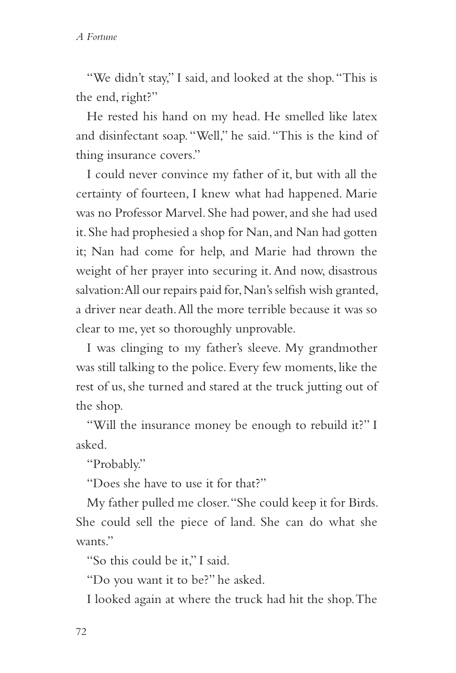"We didn't stay," I said, and looked at the shop. "This is the end, right?"

He rested his hand on my head. He smelled like latex and disinfectant soap. "Well," he said. "This is the kind of thing insurance covers."

I could never convince my father of it, but with all the certainty of fourteen, I knew what had happened. Marie was no Professor Marvel. She had power, and she had used it. She had prophesied a shop for Nan, and Nan had gotten it; Nan had come for help, and Marie had thrown the weight of her prayer into securing it. And now, disastrous salvation: All our repairs paid for, Nan's selfish wish granted, a driver near death. All the more terrible because it was so clear to me, yet so thoroughly unprovable.

I was clinging to my father's sleeve. My grandmother was still talking to the police. Every few moments, like the rest of us, she turned and stared at the truck jutting out of the shop.

"Will the insurance money be enough to rebuild it?" I asked.

"Probably."

"Does she have to use it for that?"

My father pulled me closer. "She could keep it for Birds. She could sell the piece of land. She can do what she wants."

"So this could be it," I said.

"Do you want it to be?" he asked.

I looked again at where the truck had hit the shop. The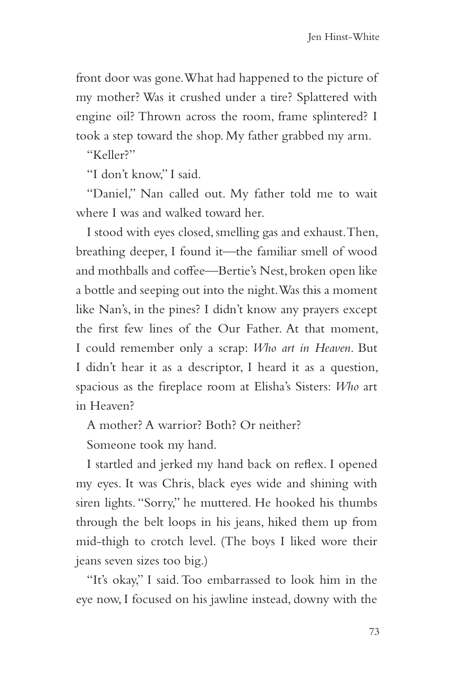front door was gone. What had happened to the picture of my mother? Was it crushed under a tire? Splattered with engine oil? Thrown across the room, frame splintered? I took a step toward the shop. My father grabbed my arm.

"Keller?"

"I don't know," I said.

"Daniel," Nan called out. My father told me to wait where I was and walked toward her.

I stood with eyes closed, smelling gas and exhaust. Then, breathing deeper, I found it—the familiar smell of wood and mothballs and coffee—Bertie's Nest, broken open like a bottle and seeping out into the night. Was this a moment like Nan's, in the pines? I didn't know any prayers except the first few lines of the Our Father. At that moment, I could remember only a scrap: *Who art in Heaven*. But I didn't hear it as a descriptor, I heard it as a question, spacious as the fireplace room at Elisha's Sisters: *Who* art in Heaven?

A mother? A warrior? Both? Or neither?

Someone took my hand.

I startled and jerked my hand back on reflex. I opened my eyes. It was Chris, black eyes wide and shining with siren lights. "Sorry," he muttered. He hooked his thumbs through the belt loops in his jeans, hiked them up from mid-thigh to crotch level. (The boys I liked wore their jeans seven sizes too big.)

"It's okay," I said. Too embarrassed to look him in the eye now, I focused on his jawline instead, downy with the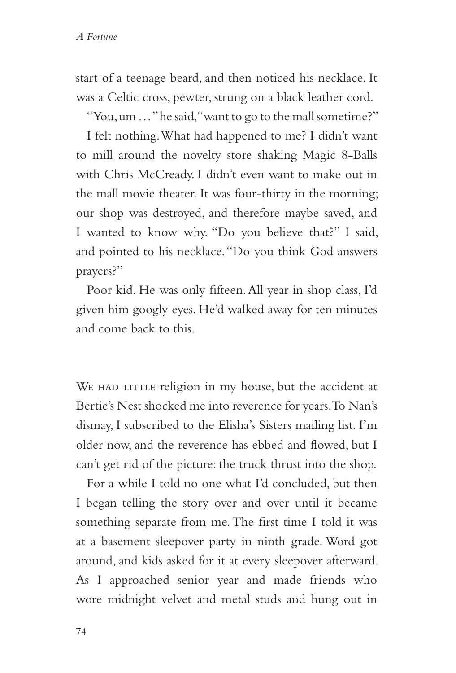start of a teenage beard, and then noticed his necklace. It was a Celtic cross, pewter, strung on a black leather cord.

"You, um ..." he said, "want to go to the mall sometime?"

I felt nothing. What had happened to me? I didn't want to mill around the novelty store shaking Magic 8-Balls with Chris McCready. I didn't even want to make out in the mall movie theater. It was four-thirty in the morning; our shop was destroyed, and therefore maybe saved, and I wanted to know why. "Do you believe that?" I said, and pointed to his necklace. "Do you think God answers prayers?"

Poor kid. He was only fifteen. All year in shop class, I'd given him googly eyes. He'd walked away for ten minutes and come back to this.

WE HAD LITTLE religion in my house, but the accident at Bertie's Nest shocked me into reverence for years. To Nan's dismay, I subscribed to the Elisha's Sisters mailing list. I'm older now, and the reverence has ebbed and flowed, but I can't get rid of the picture: the truck thrust into the shop.

For a while I told no one what I'd concluded, but then I began telling the story over and over until it became something separate from me. The first time I told it was at a basement sleepover party in ninth grade. Word got around, and kids asked for it at every sleepover afterward. As I approached senior year and made friends who wore midnight velvet and metal studs and hung out in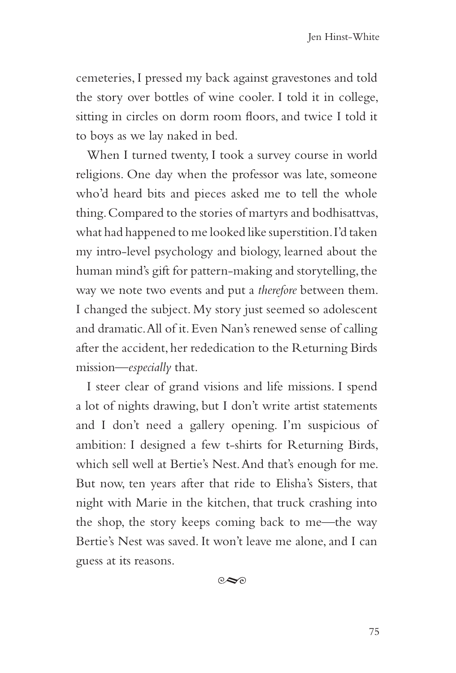cemeteries, I pressed my back against gravestones and told the story over bottles of wine cooler. I told it in college, sitting in circles on dorm room floors, and twice I told it to boys as we lay naked in bed.

When I turned twenty, I took a survey course in world religions. One day when the professor was late, someone who'd heard bits and pieces asked me to tell the whole thing. Compared to the stories of martyrs and bodhisattvas, what had happened to me looked like superstition. I'd taken my intro-level psychology and biology, learned about the human mind's gift for pattern-making and storytelling, the way we note two events and put a *therefore* between them. I changed the subject. My story just seemed so adolescent and dramatic. All of it. Even Nan's renewed sense of calling after the accident, her rededication to the Returning Birds mission—*especially* that.

I steer clear of grand visions and life missions. I spend a lot of nights drawing, but I don't write artist statements and I don't need a gallery opening. I'm suspicious of ambition: I designed a few t-shirts for Returning Birds, which sell well at Bertie's Nest. And that's enough for me. But now, ten years after that ride to Elisha's Sisters, that night with Marie in the kitchen, that truck crashing into the shop, the story keeps coming back to me—the way Bertie's Nest was saved. It won't leave me alone, and I can guess at its reasons.

 $\circ \sim$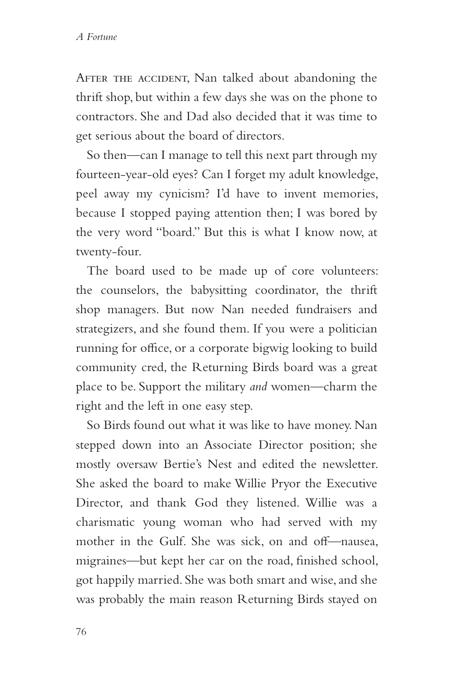AFTER THE ACCIDENT, Nan talked about abandoning the thrift shop, but within a few days she was on the phone to contractors. She and Dad also decided that it was time to get serious about the board of directors.

So then—can I manage to tell this next part through my fourteen-year-old eyes? Can I forget my adult knowledge, peel away my cynicism? I'd have to invent memories, because I stopped paying attention then; I was bored by the very word "board." But this is what I know now, at twenty-four.

The board used to be made up of core volunteers: the counselors, the babysitting coordinator, the thrift shop managers. But now Nan needed fundraisers and strategizers, and she found them. If you were a politician running for office, or a corporate bigwig looking to build community cred, the Returning Birds board was a great place to be. Support the military *and* women—charm the right and the left in one easy step.

So Birds found out what it was like to have money. Nan stepped down into an Associate Director position; she mostly oversaw Bertie's Nest and edited the newsletter. She asked the board to make Willie Pryor the Executive Director, and thank God they listened. Willie was a charismatic young woman who had served with my mother in the Gulf. She was sick, on and off—nausea, migraines—but kept her car on the road, finished school, got happily married. She was both smart and wise, and she was probably the main reason Returning Birds stayed on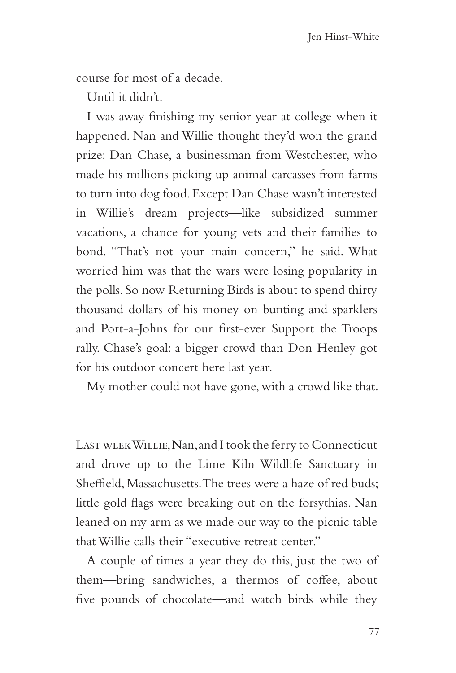course for most of a decade.

Until it didn't.

I was away finishing my senior year at college when it happened. Nan and Willie thought they'd won the grand prize: Dan Chase, a businessman from Westchester, who made his millions picking up animal carcasses from farms to turn into dog food. Except Dan Chase wasn't interested in Willie's dream projects—like subsidized summer vacations, a chance for young vets and their families to bond. "That's not your main concern," he said. What worried him was that the wars were losing popularity in the polls. So now Returning Birds is about to spend thirty thousand dollars of his money on bunting and sparklers and Port-a-Johns for our first-ever Support the Troops rally. Chase's goal: a bigger crowd than Don Henley got for his outdoor concert here last year.

My mother could not have gone, with a crowd like that.

Last week Willie, Nan, and I took the ferry to Connecticut and drove up to the Lime Kiln Wildlife Sanctuary in Sheffield, Massachusetts. The trees were a haze of red buds; little gold flags were breaking out on the forsythias. Nan leaned on my arm as we made our way to the picnic table that Willie calls their "executive retreat center."

A couple of times a year they do this, just the two of them—bring sandwiches, a thermos of coffee, about five pounds of chocolate—and watch birds while they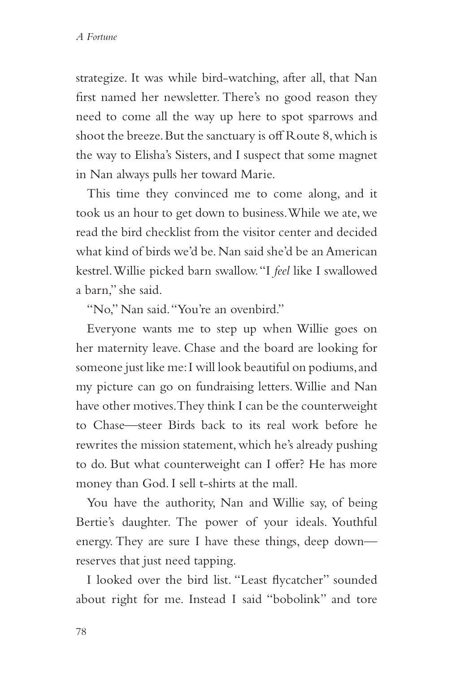strategize. It was while bird-watching, after all, that Nan first named her newsletter. There's no good reason they need to come all the way up here to spot sparrows and shoot the breeze. But the sanctuary is off Route 8, which is the way to Elisha's Sisters, and I suspect that some magnet in Nan always pulls her toward Marie.

This time they convinced me to come along, and it took us an hour to get down to business. While we ate, we read the bird checklist from the visitor center and decided what kind of birds we'd be. Nan said she'd be an American kestrel. Willie picked barn swallow. "I *feel* like I swallowed a barn," she said.

"No," Nan said. "You're an ovenbird."

Everyone wants me to step up when Willie goes on her maternity leave. Chase and the board are looking for someone just like me: I will look beautiful on podiums, and my picture can go on fundraising letters. Willie and Nan have other motives. They think I can be the counterweight to Chase—steer Birds back to its real work before he rewrites the mission statement, which he's already pushing to do. But what counterweight can I offer? He has more money than God. I sell t-shirts at the mall.

You have the authority, Nan and Willie say, of being Bertie's daughter. The power of your ideals. Youthful energy. They are sure I have these things, deep down reserves that just need tapping.

I looked over the bird list. "Least flycatcher" sounded about right for me. Instead I said "bobolink" and tore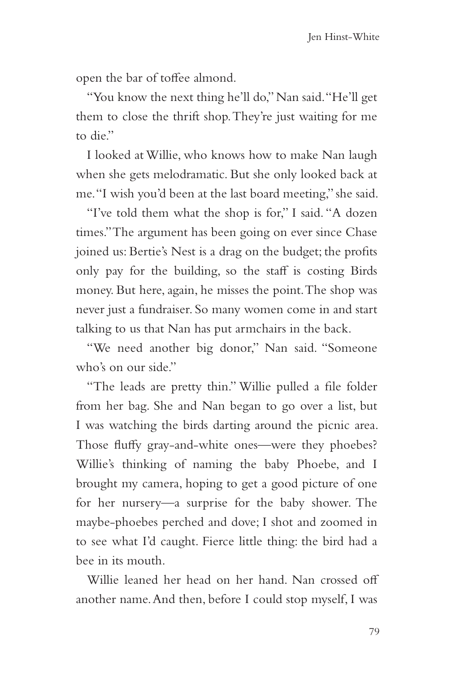open the bar of toffee almond.

"You know the next thing he'll do," Nan said. "He'll get them to close the thrift shop. They're just waiting for me to die."

I looked at Willie, who knows how to make Nan laugh when she gets melodramatic. But she only looked back at me. "I wish you'd been at the last board meeting," she said.

"I've told them what the shop is for," I said. "A dozen times." The argument has been going on ever since Chase joined us: Bertie's Nest is a drag on the budget; the profits only pay for the building, so the staff is costing Birds money. But here, again, he misses the point. The shop was never just a fundraiser. So many women come in and start talking to us that Nan has put armchairs in the back.

"We need another big donor," Nan said. "Someone who's on our side."

"The leads are pretty thin." Willie pulled a file folder from her bag. She and Nan began to go over a list, but I was watching the birds darting around the picnic area. Those fluffy gray-and-white ones—were they phoebes? Willie's thinking of naming the baby Phoebe, and I brought my camera, hoping to get a good picture of one for her nursery—a surprise for the baby shower. The maybe-phoebes perched and dove; I shot and zoomed in to see what I'd caught. Fierce little thing: the bird had a bee in its mouth.

Willie leaned her head on her hand. Nan crossed off another name. And then, before I could stop myself, I was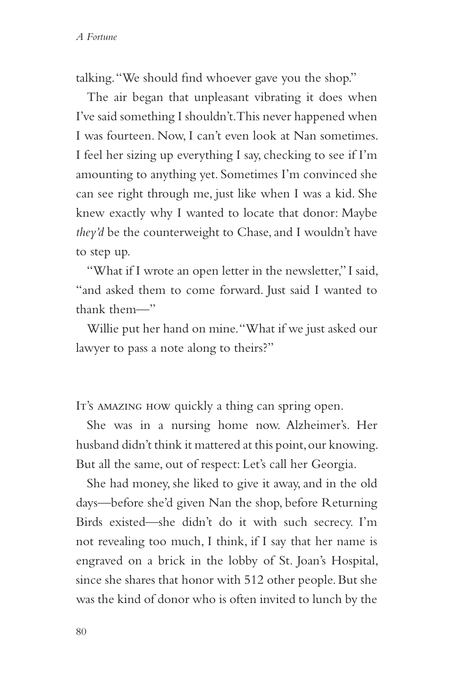talking. "We should find whoever gave you the shop."

The air began that unpleasant vibrating it does when I've said something I shouldn't. This never happened when I was fourteen. Now, I can't even look at Nan sometimes. I feel her sizing up everything I say, checking to see if I'm amounting to anything yet. Sometimes I'm convinced she can see right through me, just like when I was a kid. She knew exactly why I wanted to locate that donor: Maybe *they'd* be the counterweight to Chase, and I wouldn't have to step up.

"What if I wrote an open letter in the newsletter," I said, "and asked them to come forward. Just said I wanted to thank them—"

Willie put her hand on mine. "What if we just asked our lawyer to pass a note along to theirs?"

It's AMAZING HOW quickly a thing can spring open.

She was in a nursing home now. Alzheimer's. Her husband didn't think it mattered at this point, our knowing. But all the same, out of respect: Let's call her Georgia.

She had money, she liked to give it away, and in the old days—before she'd given Nan the shop, before Returning Birds existed—she didn't do it with such secrecy. I'm not revealing too much, I think, if I say that her name is engraved on a brick in the lobby of St. Joan's Hospital, since she shares that honor with 512 other people. But she was the kind of donor who is often invited to lunch by the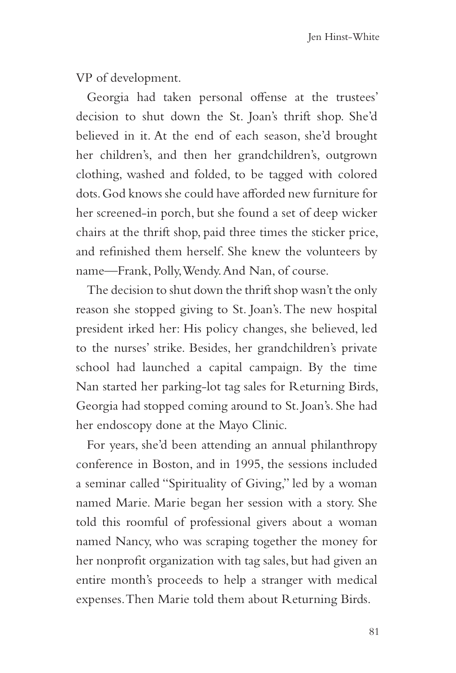VP of development.

Georgia had taken personal offense at the trustees' decision to shut down the St. Joan's thrift shop. She'd believed in it. At the end of each season, she'd brought her children's, and then her grandchildren's, outgrown clothing, washed and folded, to be tagged with colored dots. God knows she could have afforded new furniture for her screened-in porch, but she found a set of deep wicker chairs at the thrift shop, paid three times the sticker price, and refinished them herself. She knew the volunteers by name—Frank, Polly, Wendy. And Nan, of course.

The decision to shut down the thrift shop wasn't the only reason she stopped giving to St. Joan's. The new hospital president irked her: His policy changes, she believed, led to the nurses' strike. Besides, her grandchildren's private school had launched a capital campaign. By the time Nan started her parking-lot tag sales for Returning Birds, Georgia had stopped coming around to St. Joan's. She had her endoscopy done at the Mayo Clinic.

For years, she'd been attending an annual philanthropy conference in Boston, and in 1995, the sessions included a seminar called "Spirituality of Giving," led by a woman named Marie. Marie began her session with a story. She told this roomful of professional givers about a woman named Nancy, who was scraping together the money for her nonprofit organization with tag sales, but had given an entire month's proceeds to help a stranger with medical expenses. Then Marie told them about Returning Birds.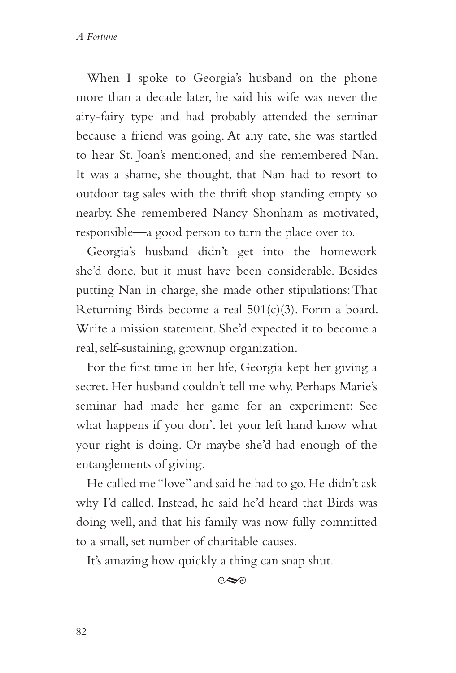When I spoke to Georgia's husband on the phone more than a decade later, he said his wife was never the airy-fairy type and had probably attended the seminar because a friend was going. At any rate, she was startled to hear St. Joan's mentioned, and she remembered Nan. It was a shame, she thought, that Nan had to resort to outdoor tag sales with the thrift shop standing empty so nearby. She remembered Nancy Shonham as motivated, responsible—a good person to turn the place over to.

Georgia's husband didn't get into the homework she'd done, but it must have been considerable. Besides putting Nan in charge, she made other stipulations: That Returning Birds become a real 501(c)(3). Form a board. Write a mission statement. She'd expected it to become a real, self-sustaining, grownup organization.

For the first time in her life, Georgia kept her giving a secret. Her husband couldn't tell me why. Perhaps Marie's seminar had made her game for an experiment: See what happens if you don't let your left hand know what your right is doing. Or maybe she'd had enough of the entanglements of giving.

He called me "love" and said he had to go. He didn't ask why I'd called. Instead, he said he'd heard that Birds was doing well, and that his family was now fully committed to a small, set number of charitable causes.

It's amazing how quickly a thing can snap shut.

 $\infty$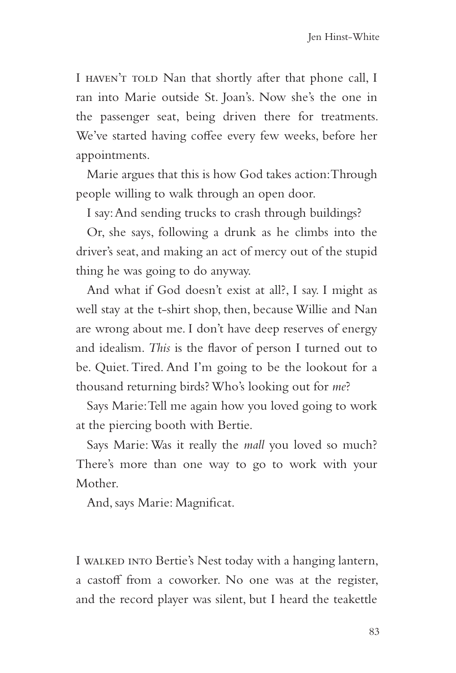I HAVEN'T TOLD Nan that shortly after that phone call, I ran into Marie outside St. Joan's. Now she's the one in the passenger seat, being driven there for treatments. We've started having coffee every few weeks, before her appointments.

Marie argues that this is how God takes action: Through people willing to walk through an open door.

I say: And sending trucks to crash through buildings?

Or, she says, following a drunk as he climbs into the driver's seat, and making an act of mercy out of the stupid thing he was going to do anyway.

And what if God doesn't exist at all?, I say. I might as well stay at the t-shirt shop, then, because Willie and Nan are wrong about me. I don't have deep reserves of energy and idealism. *This* is the flavor of person I turned out to be. Quiet. Tired. And I'm going to be the lookout for a thousand returning birds? Who's looking out for *me*?

Says Marie: Tell me again how you loved going to work at the piercing booth with Bertie.

Says Marie: Was it really the *mall* you loved so much? There's more than one way to go to work with your Mother.

And, says Marie: Magnificat.

I walked into Bertie's Nest today with a hanging lantern, a castoff from a coworker. No one was at the register, and the record player was silent, but I heard the teakettle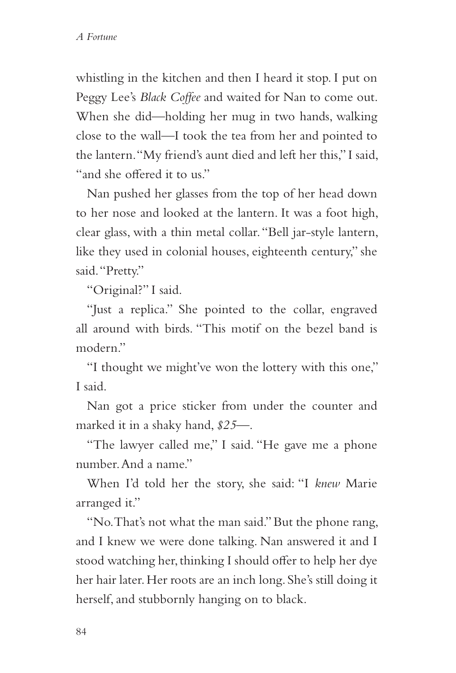whistling in the kitchen and then I heard it stop. I put on Peggy Lee's *Black Coffee* and waited for Nan to come out. When she did—holding her mug in two hands, walking close to the wall—I took the tea from her and pointed to the lantern. "My friend's aunt died and left her this," I said, "and she offered it to us."

Nan pushed her glasses from the top of her head down to her nose and looked at the lantern. It was a foot high, clear glass, with a thin metal collar. "Bell jar-style lantern, like they used in colonial houses, eighteenth century," she said. "Pretty."

"Original?" I said.

"Just a replica." She pointed to the collar, engraved all around with birds. "This motif on the bezel band is modern."

"I thought we might've won the lottery with this one," I said.

Nan got a price sticker from under the counter and marked it in a shaky hand, *\$25—*.

"The lawyer called me," I said. "He gave me a phone number. And a name."

When I'd told her the story, she said: "I *knew* Marie arranged it."

"No. That's not what the man said." But the phone rang, and I knew we were done talking. Nan answered it and I stood watching her, thinking I should offer to help her dye her hair later. Her roots are an inch long. She's still doing it herself, and stubbornly hanging on to black.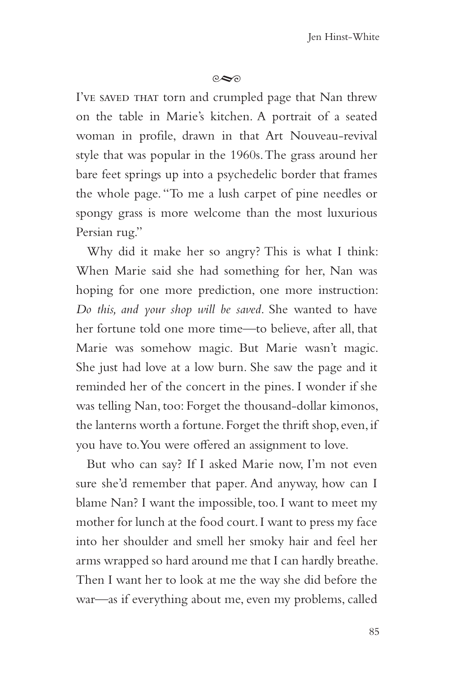## $\infty$

I've saved THAT torn and crumpled page that Nan threw on the table in Marie's kitchen. A portrait of a seated woman in profile, drawn in that Art Nouveau-revival style that was popular in the 1960s. The grass around her bare feet springs up into a psychedelic border that frames the whole page. "To me a lush carpet of pine needles or spongy grass is more welcome than the most luxurious Persian rug."

Why did it make her so angry? This is what I think: When Marie said she had something for her, Nan was hoping for one more prediction, one more instruction: *Do this, and your shop will be saved*. She wanted to have her fortune told one more time—to believe, after all, that Marie was somehow magic. But Marie wasn't magic. She just had love at a low burn. She saw the page and it reminded her of the concert in the pines. I wonder if she was telling Nan, too: Forget the thousand-dollar kimonos, the lanterns worth a fortune. Forget the thrift shop, even, if you have to. You were offered an assignment to love.

But who can say? If I asked Marie now, I'm not even sure she'd remember that paper. And anyway, how can I blame Nan? I want the impossible, too. I want to meet my mother for lunch at the food court. I want to press my face into her shoulder and smell her smoky hair and feel her arms wrapped so hard around me that I can hardly breathe. Then I want her to look at me the way she did before the war—as if everything about me, even my problems, called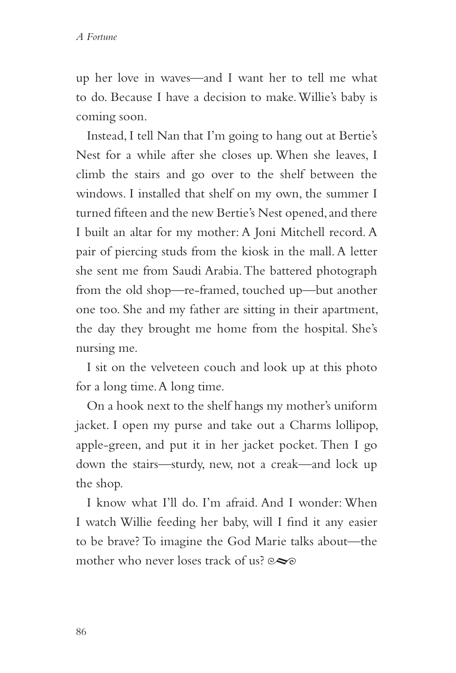up her love in waves—and I want her to tell me what to do. Because I have a decision to make. Willie's baby is coming soon.

Instead, I tell Nan that I'm going to hang out at Bertie's Nest for a while after she closes up. When she leaves, I climb the stairs and go over to the shelf between the windows. I installed that shelf on my own, the summer I turned fifteen and the new Bertie's Nest opened, and there I built an altar for my mother: A Joni Mitchell record. A pair of piercing studs from the kiosk in the mall. A letter she sent me from Saudi Arabia. The battered photograph from the old shop—re-framed, touched up—but another one too. She and my father are sitting in their apartment, the day they brought me home from the hospital. She's nursing me.

I sit on the velveteen couch and look up at this photo for a long time. A long time.

On a hook next to the shelf hangs my mother's uniform jacket. I open my purse and take out a Charms lollipop, apple-green, and put it in her jacket pocket. Then I go down the stairs—sturdy, new, not a creak—and lock up the shop.

I know what I'll do. I'm afraid. And I wonder: When I watch Willie feeding her baby, will I find it any easier to be brave? To imagine the God Marie talks about—the mother who never loses track of us?  $\infty$